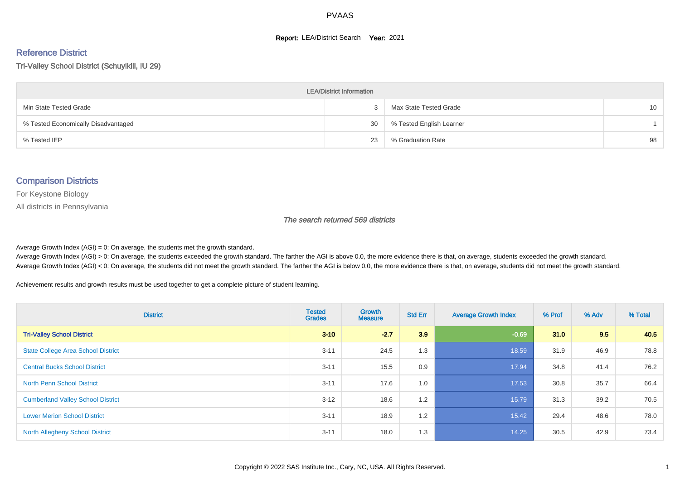#### **Report: LEA/District Search Year: 2021**

#### Reference District

Tri-Valley School District (Schuylkill, IU 29)

| <b>LEA/District Information</b>     |    |                          |                 |  |  |  |  |  |  |
|-------------------------------------|----|--------------------------|-----------------|--|--|--|--|--|--|
| Min State Tested Grade              |    | Max State Tested Grade   | 10 <sup>°</sup> |  |  |  |  |  |  |
| % Tested Economically Disadvantaged | 30 | % Tested English Learner |                 |  |  |  |  |  |  |
| % Tested IEP                        | 23 | % Graduation Rate        | 98              |  |  |  |  |  |  |

#### Comparison Districts

For Keystone Biology

All districts in Pennsylvania

The search returned 569 districts

Average Growth Index  $(AGI) = 0$ : On average, the students met the growth standard.

Average Growth Index (AGI) > 0: On average, the students exceeded the growth standard. The farther the AGI is above 0.0, the more evidence there is that, on average, students exceeded the growth standard. Average Growth Index (AGI) < 0: On average, the students did not meet the growth standard. The farther the AGI is below 0.0, the more evidence there is that, on average, students did not meet the growth standard.

Achievement results and growth results must be used together to get a complete picture of student learning.

| <b>District</b>                           | <b>Tested</b><br><b>Grades</b> | <b>Growth</b><br><b>Measure</b> | <b>Std Err</b> | <b>Average Growth Index</b> | % Prof | % Adv | % Total |
|-------------------------------------------|--------------------------------|---------------------------------|----------------|-----------------------------|--------|-------|---------|
| <b>Tri-Valley School District</b>         | $3 - 10$                       | $-2.7$                          | 3.9            | $-0.69$                     | 31.0   | 9.5   | 40.5    |
| <b>State College Area School District</b> | $3 - 11$                       | 24.5                            | 1.3            | 18.59                       | 31.9   | 46.9  | 78.8    |
| <b>Central Bucks School District</b>      | $3 - 11$                       | 15.5                            | 0.9            | 17.94                       | 34.8   | 41.4  | 76.2    |
| <b>North Penn School District</b>         | $3 - 11$                       | 17.6                            | 1.0            | 17.53                       | 30.8   | 35.7  | 66.4    |
| <b>Cumberland Valley School District</b>  | $3 - 12$                       | 18.6                            | 1.2            | 15.79                       | 31.3   | 39.2  | 70.5    |
| <b>Lower Merion School District</b>       | $3 - 11$                       | 18.9                            | 1.2            | 15.42                       | 29.4   | 48.6  | 78.0    |
| <b>North Allegheny School District</b>    | $3 - 11$                       | 18.0                            | 1.3            | 14.25                       | 30.5   | 42.9  | 73.4    |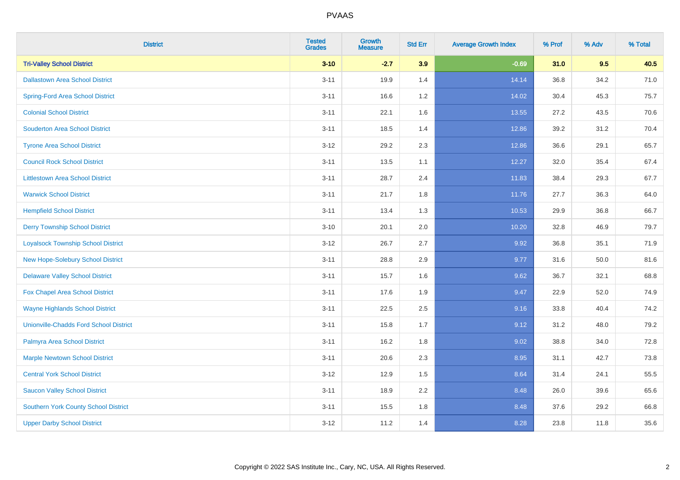| <b>District</b>                               | <b>Tested</b><br><b>Grades</b> | <b>Growth</b><br><b>Measure</b> | <b>Std Err</b> | <b>Average Growth Index</b> | % Prof | % Adv | % Total |
|-----------------------------------------------|--------------------------------|---------------------------------|----------------|-----------------------------|--------|-------|---------|
| <b>Tri-Valley School District</b>             | $3 - 10$                       | $-2.7$                          | 3.9            | $-0.69$                     | 31.0   | 9.5   | 40.5    |
| <b>Dallastown Area School District</b>        | $3 - 11$                       | 19.9                            | 1.4            | 14.14                       | 36.8   | 34.2  | 71.0    |
| <b>Spring-Ford Area School District</b>       | $3 - 11$                       | 16.6                            | 1.2            | 14.02                       | 30.4   | 45.3  | 75.7    |
| <b>Colonial School District</b>               | $3 - 11$                       | 22.1                            | 1.6            | 13.55                       | 27.2   | 43.5  | 70.6    |
| <b>Souderton Area School District</b>         | $3 - 11$                       | 18.5                            | 1.4            | 12.86                       | 39.2   | 31.2  | 70.4    |
| <b>Tyrone Area School District</b>            | $3 - 12$                       | 29.2                            | 2.3            | 12.86                       | 36.6   | 29.1  | 65.7    |
| <b>Council Rock School District</b>           | $3 - 11$                       | 13.5                            | 1.1            | 12.27                       | 32.0   | 35.4  | 67.4    |
| <b>Littlestown Area School District</b>       | $3 - 11$                       | 28.7                            | 2.4            | 11.83                       | 38.4   | 29.3  | 67.7    |
| <b>Warwick School District</b>                | $3 - 11$                       | 21.7                            | 1.8            | 11.76                       | 27.7   | 36.3  | 64.0    |
| <b>Hempfield School District</b>              | $3 - 11$                       | 13.4                            | 1.3            | 10.53                       | 29.9   | 36.8  | 66.7    |
| <b>Derry Township School District</b>         | $3 - 10$                       | 20.1                            | 2.0            | 10.20                       | 32.8   | 46.9  | 79.7    |
| <b>Loyalsock Township School District</b>     | $3-12$                         | 26.7                            | 2.7            | 9.92                        | 36.8   | 35.1  | 71.9    |
| New Hope-Solebury School District             | $3 - 11$                       | 28.8                            | 2.9            | 9.77                        | 31.6   | 50.0  | 81.6    |
| <b>Delaware Valley School District</b>        | $3 - 11$                       | 15.7                            | 1.6            | 9.62                        | 36.7   | 32.1  | 68.8    |
| Fox Chapel Area School District               | $3 - 11$                       | 17.6                            | 1.9            | 9.47                        | 22.9   | 52.0  | 74.9    |
| <b>Wayne Highlands School District</b>        | $3 - 11$                       | 22.5                            | 2.5            | 9.16                        | 33.8   | 40.4  | 74.2    |
| <b>Unionville-Chadds Ford School District</b> | $3 - 11$                       | 15.8                            | 1.7            | 9.12                        | 31.2   | 48.0  | 79.2    |
| Palmyra Area School District                  | $3 - 11$                       | 16.2                            | 1.8            | 9.02                        | 38.8   | 34.0  | 72.8    |
| <b>Marple Newtown School District</b>         | $3 - 11$                       | 20.6                            | 2.3            | 8.95                        | 31.1   | 42.7  | 73.8    |
| <b>Central York School District</b>           | $3 - 12$                       | 12.9                            | 1.5            | 8.64                        | 31.4   | 24.1  | 55.5    |
| <b>Saucon Valley School District</b>          | $3 - 11$                       | 18.9                            | 2.2            | 8.48                        | 26.0   | 39.6  | 65.6    |
| <b>Southern York County School District</b>   | $3 - 11$                       | 15.5                            | 1.8            | 8.48                        | 37.6   | 29.2  | 66.8    |
| <b>Upper Darby School District</b>            | $3 - 12$                       | 11.2                            | 1.4            | 8.28                        | 23.8   | 11.8  | 35.6    |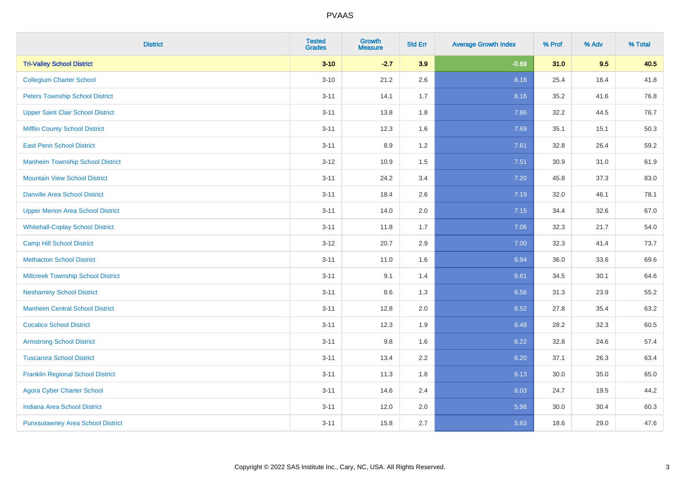| <b>District</b>                           | <b>Tested</b><br><b>Grades</b> | <b>Growth</b><br><b>Measure</b> | <b>Std Err</b> | <b>Average Growth Index</b> | % Prof | % Adv | % Total |
|-------------------------------------------|--------------------------------|---------------------------------|----------------|-----------------------------|--------|-------|---------|
| <b>Tri-Valley School District</b>         | $3 - 10$                       | $-2.7$                          | 3.9            | $-0.69$                     | 31.0   | 9.5   | 40.5    |
| <b>Collegium Charter School</b>           | $3 - 10$                       | 21.2                            | 2.6            | 8.18                        | 25.4   | 16.4  | 41.8    |
| <b>Peters Township School District</b>    | $3 - 11$                       | 14.1                            | 1.7            | 8.16                        | 35.2   | 41.6  | 76.8    |
| <b>Upper Saint Clair School District</b>  | $3 - 11$                       | 13.8                            | 1.8            | 7.86                        | 32.2   | 44.5  | 76.7    |
| <b>Mifflin County School District</b>     | $3 - 11$                       | 12.3                            | 1.6            | 7.69                        | 35.1   | 15.1  | 50.3    |
| <b>East Penn School District</b>          | $3 - 11$                       | 8.9                             | 1.2            | 7.61                        | 32.8   | 26.4  | 59.2    |
| <b>Manheim Township School District</b>   | $3 - 12$                       | 10.9                            | 1.5            | 7.51                        | 30.9   | 31.0  | 61.9    |
| <b>Mountain View School District</b>      | $3 - 11$                       | 24.2                            | 3.4            | 7.20                        | 45.8   | 37.3  | 83.0    |
| <b>Danville Area School District</b>      | $3 - 11$                       | 18.4                            | 2.6            | 7.19                        | 32.0   | 46.1  | 78.1    |
| <b>Upper Merion Area School District</b>  | $3 - 11$                       | 14.0                            | 2.0            | 7.15                        | 34.4   | 32.6  | 67.0    |
| <b>Whitehall-Coplay School District</b>   | $3 - 11$                       | 11.8                            | 1.7            | 7.06                        | 32.3   | 21.7  | 54.0    |
| <b>Camp Hill School District</b>          | $3 - 12$                       | 20.7                            | 2.9            | 7.00                        | 32.3   | 41.4  | 73.7    |
| <b>Methacton School District</b>          | $3 - 11$                       | 11.0                            | 1.6            | 6.94                        | 36.0   | 33.6  | 69.6    |
| <b>Millcreek Township School District</b> | $3 - 11$                       | 9.1                             | 1.4            | 6.61                        | 34.5   | 30.1  | 64.6    |
| <b>Neshaminy School District</b>          | $3 - 11$                       | 8.6                             | 1.3            | 6.56                        | 31.3   | 23.9  | 55.2    |
| <b>Manheim Central School District</b>    | $3 - 11$                       | 12.8                            | 2.0            | 6.52                        | 27.8   | 35.4  | 63.2    |
| <b>Cocalico School District</b>           | $3 - 11$                       | 12.3                            | 1.9            | 6.48                        | 28.2   | 32.3  | 60.5    |
| <b>Armstrong School District</b>          | $3 - 11$                       | 9.8                             | 1.6            | 6.22                        | 32.8   | 24.6  | 57.4    |
| <b>Tuscarora School District</b>          | $3 - 11$                       | 13.4                            | 2.2            | 6.20                        | 37.1   | 26.3  | 63.4    |
| <b>Franklin Regional School District</b>  | $3 - 11$                       | 11.3                            | 1.8            | 6.13                        | 30.0   | 35.0  | 65.0    |
| <b>Agora Cyber Charter School</b>         | $3 - 11$                       | 14.6                            | 2.4            | 6.03                        | 24.7   | 19.5  | 44.2    |
| <b>Indiana Area School District</b>       | $3 - 11$                       | 12.0                            | 2.0            | 5.98                        | 30.0   | 30.4  | 60.3    |
| <b>Punxsutawney Area School District</b>  | $3 - 11$                       | 15.8                            | 2.7            | 5.83                        | 18.6   | 29.0  | 47.6    |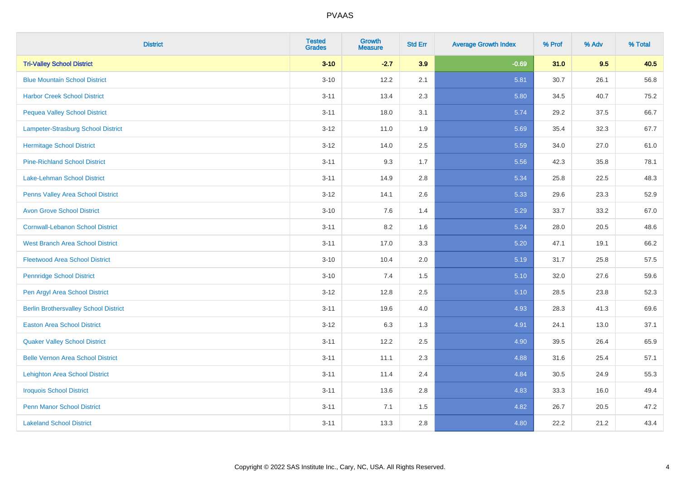| <b>District</b>                              | <b>Tested</b><br><b>Grades</b> | Growth<br><b>Measure</b> | <b>Std Err</b> | <b>Average Growth Index</b> | % Prof | % Adv | % Total |
|----------------------------------------------|--------------------------------|--------------------------|----------------|-----------------------------|--------|-------|---------|
| <b>Tri-Valley School District</b>            | $3 - 10$                       | $-2.7$                   | 3.9            | $-0.69$                     | 31.0   | 9.5   | 40.5    |
| <b>Blue Mountain School District</b>         | $3 - 10$                       | 12.2                     | 2.1            | 5.81                        | 30.7   | 26.1  | 56.8    |
| <b>Harbor Creek School District</b>          | $3 - 11$                       | 13.4                     | 2.3            | 5.80                        | 34.5   | 40.7  | 75.2    |
| <b>Pequea Valley School District</b>         | $3 - 11$                       | 18.0                     | 3.1            | 5.74                        | 29.2   | 37.5  | 66.7    |
| Lampeter-Strasburg School District           | $3 - 12$                       | 11.0                     | 1.9            | 5.69                        | 35.4   | 32.3  | 67.7    |
| <b>Hermitage School District</b>             | $3 - 12$                       | 14.0                     | 2.5            | 5.59                        | 34.0   | 27.0  | 61.0    |
| <b>Pine-Richland School District</b>         | $3 - 11$                       | 9.3                      | 1.7            | 5.56                        | 42.3   | 35.8  | 78.1    |
| Lake-Lehman School District                  | $3 - 11$                       | 14.9                     | 2.8            | 5.34                        | 25.8   | 22.5  | 48.3    |
| Penns Valley Area School District            | $3 - 12$                       | 14.1                     | 2.6            | 5.33                        | 29.6   | 23.3  | 52.9    |
| <b>Avon Grove School District</b>            | $3 - 10$                       | 7.6                      | 1.4            | 5.29                        | 33.7   | 33.2  | 67.0    |
| <b>Cornwall-Lebanon School District</b>      | $3 - 11$                       | 8.2                      | 1.6            | 5.24                        | 28.0   | 20.5  | 48.6    |
| <b>West Branch Area School District</b>      | $3 - 11$                       | 17.0                     | 3.3            | 5.20                        | 47.1   | 19.1  | 66.2    |
| <b>Fleetwood Area School District</b>        | $3 - 10$                       | 10.4                     | 2.0            | 5.19                        | 31.7   | 25.8  | 57.5    |
| <b>Pennridge School District</b>             | $3 - 10$                       | 7.4                      | 1.5            | 5.10                        | 32.0   | 27.6  | 59.6    |
| Pen Argyl Area School District               | $3 - 12$                       | 12.8                     | 2.5            | 5.10                        | 28.5   | 23.8  | 52.3    |
| <b>Berlin Brothersvalley School District</b> | $3 - 11$                       | 19.6                     | 4.0            | 4.93                        | 28.3   | 41.3  | 69.6    |
| <b>Easton Area School District</b>           | $3 - 12$                       | 6.3                      | 1.3            | 4.91                        | 24.1   | 13.0  | 37.1    |
| <b>Quaker Valley School District</b>         | $3 - 11$                       | 12.2                     | 2.5            | 4.90                        | 39.5   | 26.4  | 65.9    |
| <b>Belle Vernon Area School District</b>     | $3 - 11$                       | 11.1                     | 2.3            | 4.88                        | 31.6   | 25.4  | 57.1    |
| <b>Lehighton Area School District</b>        | $3 - 11$                       | 11.4                     | 2.4            | 4.84                        | 30.5   | 24.9  | 55.3    |
| <b>Iroquois School District</b>              | $3 - 11$                       | 13.6                     | 2.8            | 4.83                        | 33.3   | 16.0  | 49.4    |
| <b>Penn Manor School District</b>            | $3 - 11$                       | 7.1                      | 1.5            | 4.82                        | 26.7   | 20.5  | 47.2    |
| <b>Lakeland School District</b>              | $3 - 11$                       | 13.3                     | 2.8            | 4.80                        | 22.2   | 21.2  | 43.4    |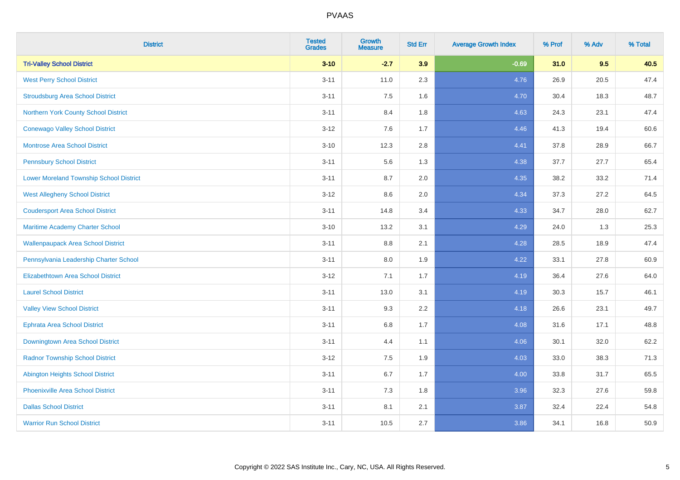| <b>District</b>                                | <b>Tested</b><br><b>Grades</b> | <b>Growth</b><br><b>Measure</b> | <b>Std Err</b> | <b>Average Growth Index</b> | % Prof | % Adv | % Total |
|------------------------------------------------|--------------------------------|---------------------------------|----------------|-----------------------------|--------|-------|---------|
| <b>Tri-Valley School District</b>              | $3 - 10$                       | $-2.7$                          | 3.9            | $-0.69$                     | 31.0   | 9.5   | 40.5    |
| <b>West Perry School District</b>              | $3 - 11$                       | 11.0                            | 2.3            | 4.76                        | 26.9   | 20.5  | 47.4    |
| <b>Stroudsburg Area School District</b>        | $3 - 11$                       | 7.5                             | 1.6            | 4.70                        | 30.4   | 18.3  | 48.7    |
| Northern York County School District           | $3 - 11$                       | 8.4                             | 1.8            | 4.63                        | 24.3   | 23.1  | 47.4    |
| <b>Conewago Valley School District</b>         | $3 - 12$                       | 7.6                             | 1.7            | 4.46                        | 41.3   | 19.4  | 60.6    |
| <b>Montrose Area School District</b>           | $3 - 10$                       | 12.3                            | 2.8            | 4.41                        | 37.8   | 28.9  | 66.7    |
| <b>Pennsbury School District</b>               | $3 - 11$                       | 5.6                             | 1.3            | 4.38                        | 37.7   | 27.7  | 65.4    |
| <b>Lower Moreland Township School District</b> | $3 - 11$                       | 8.7                             | 2.0            | 4.35                        | 38.2   | 33.2  | 71.4    |
| <b>West Allegheny School District</b>          | $3-12$                         | 8.6                             | 2.0            | 4.34                        | 37.3   | 27.2  | 64.5    |
| <b>Coudersport Area School District</b>        | $3 - 11$                       | 14.8                            | 3.4            | 4.33                        | 34.7   | 28.0  | 62.7    |
| Maritime Academy Charter School                | $3 - 10$                       | 13.2                            | 3.1            | 4.29                        | 24.0   | 1.3   | 25.3    |
| <b>Wallenpaupack Area School District</b>      | $3 - 11$                       | 8.8                             | 2.1            | 4.28                        | 28.5   | 18.9  | 47.4    |
| Pennsylvania Leadership Charter School         | $3 - 11$                       | 8.0                             | 1.9            | 4.22                        | 33.1   | 27.8  | 60.9    |
| <b>Elizabethtown Area School District</b>      | $3 - 12$                       | 7.1                             | 1.7            | 4.19                        | 36.4   | 27.6  | 64.0    |
| <b>Laurel School District</b>                  | $3 - 11$                       | 13.0                            | 3.1            | 4.19                        | 30.3   | 15.7  | 46.1    |
| <b>Valley View School District</b>             | $3 - 11$                       | 9.3                             | 2.2            | 4.18                        | 26.6   | 23.1  | 49.7    |
| <b>Ephrata Area School District</b>            | $3 - 11$                       | 6.8                             | 1.7            | 4.08                        | 31.6   | 17.1  | 48.8    |
| Downingtown Area School District               | $3 - 11$                       | 4.4                             | 1.1            | 4.06                        | 30.1   | 32.0  | 62.2    |
| <b>Radnor Township School District</b>         | $3 - 12$                       | 7.5                             | 1.9            | 4.03                        | 33.0   | 38.3  | 71.3    |
| <b>Abington Heights School District</b>        | $3 - 11$                       | 6.7                             | 1.7            | 4.00                        | 33.8   | 31.7  | 65.5    |
| <b>Phoenixville Area School District</b>       | $3 - 11$                       | 7.3                             | 1.8            | 3.96                        | 32.3   | 27.6  | 59.8    |
| <b>Dallas School District</b>                  | $3 - 11$                       | 8.1                             | 2.1            | 3.87                        | 32.4   | 22.4  | 54.8    |
| <b>Warrior Run School District</b>             | $3 - 11$                       | 10.5                            | 2.7            | 3.86                        | 34.1   | 16.8  | 50.9    |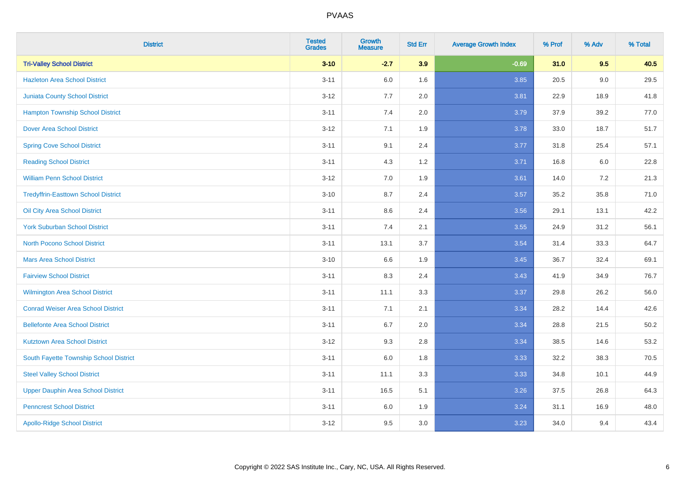| <b>District</b>                            | <b>Tested</b><br><b>Grades</b> | <b>Growth</b><br><b>Measure</b> | <b>Std Err</b> | <b>Average Growth Index</b> | % Prof | % Adv   | % Total  |
|--------------------------------------------|--------------------------------|---------------------------------|----------------|-----------------------------|--------|---------|----------|
| <b>Tri-Valley School District</b>          | $3 - 10$                       | $-2.7$                          | 3.9            | $-0.69$                     | 31.0   | 9.5     | 40.5     |
| <b>Hazleton Area School District</b>       | $3 - 11$                       | 6.0                             | 1.6            | 3.85                        | 20.5   | $9.0\,$ | 29.5     |
| <b>Juniata County School District</b>      | $3 - 12$                       | 7.7                             | 2.0            | 3.81                        | 22.9   | 18.9    | 41.8     |
| <b>Hampton Township School District</b>    | $3 - 11$                       | 7.4                             | 2.0            | 3.79                        | 37.9   | 39.2    | 77.0     |
| <b>Dover Area School District</b>          | $3 - 12$                       | 7.1                             | 1.9            | 3.78                        | 33.0   | 18.7    | 51.7     |
| <b>Spring Cove School District</b>         | $3 - 11$                       | 9.1                             | 2.4            | 3.77                        | 31.8   | 25.4    | 57.1     |
| <b>Reading School District</b>             | $3 - 11$                       | 4.3                             | $1.2$          | 3.71                        | 16.8   | 6.0     | 22.8     |
| <b>William Penn School District</b>        | $3 - 12$                       | 7.0                             | 1.9            | 3.61                        | 14.0   | 7.2     | 21.3     |
| <b>Tredyffrin-Easttown School District</b> | $3 - 10$                       | 8.7                             | 2.4            | 3.57                        | 35.2   | 35.8    | 71.0     |
| Oil City Area School District              | $3 - 11$                       | 8.6                             | 2.4            | 3.56                        | 29.1   | 13.1    | 42.2     |
| <b>York Suburban School District</b>       | $3 - 11$                       | 7.4                             | 2.1            | 3.55                        | 24.9   | 31.2    | 56.1     |
| <b>North Pocono School District</b>        | $3 - 11$                       | 13.1                            | 3.7            | 3.54                        | 31.4   | 33.3    | 64.7     |
| <b>Mars Area School District</b>           | $3 - 10$                       | 6.6                             | 1.9            | 3.45                        | 36.7   | 32.4    | 69.1     |
| <b>Fairview School District</b>            | $3 - 11$                       | 8.3                             | 2.4            | 3.43                        | 41.9   | 34.9    | 76.7     |
| Wilmington Area School District            | $3 - 11$                       | 11.1                            | 3.3            | 3.37                        | 29.8   | 26.2    | 56.0     |
| <b>Conrad Weiser Area School District</b>  | $3 - 11$                       | 7.1                             | 2.1            | 3.34                        | 28.2   | 14.4    | 42.6     |
| <b>Bellefonte Area School District</b>     | $3 - 11$                       | 6.7                             | 2.0            | 3.34                        | 28.8   | 21.5    | $50.2\,$ |
| <b>Kutztown Area School District</b>       | $3 - 12$                       | 9.3                             | 2.8            | 3.34                        | 38.5   | 14.6    | 53.2     |
| South Fayette Township School District     | $3 - 11$                       | $6.0\,$                         | 1.8            | 3.33                        | 32.2   | 38.3    | 70.5     |
| <b>Steel Valley School District</b>        | $3 - 11$                       | 11.1                            | 3.3            | 3.33                        | 34.8   | 10.1    | 44.9     |
| <b>Upper Dauphin Area School District</b>  | $3 - 11$                       | 16.5                            | 5.1            | 3.26                        | 37.5   | 26.8    | 64.3     |
| <b>Penncrest School District</b>           | $3 - 11$                       | 6.0                             | 1.9            | 3.24                        | 31.1   | 16.9    | 48.0     |
| <b>Apollo-Ridge School District</b>        | $3-12$                         | 9.5                             | 3.0            | 3.23                        | 34.0   | 9.4     | 43.4     |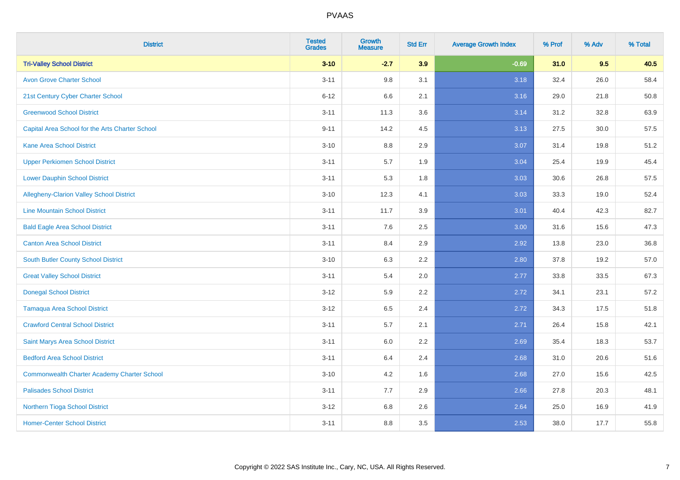| <b>District</b>                                    | <b>Tested</b><br><b>Grades</b> | Growth<br><b>Measure</b> | <b>Std Err</b> | <b>Average Growth Index</b> | % Prof | % Adv | % Total |
|----------------------------------------------------|--------------------------------|--------------------------|----------------|-----------------------------|--------|-------|---------|
| <b>Tri-Valley School District</b>                  | $3 - 10$                       | $-2.7$                   | 3.9            | $-0.69$                     | 31.0   | 9.5   | 40.5    |
| <b>Avon Grove Charter School</b>                   | $3 - 11$                       | 9.8                      | 3.1            | 3.18                        | 32.4   | 26.0  | 58.4    |
| 21st Century Cyber Charter School                  | $6 - 12$                       | 6.6                      | 2.1            | 3.16                        | 29.0   | 21.8  | 50.8    |
| <b>Greenwood School District</b>                   | $3 - 11$                       | 11.3                     | 3.6            | 3.14                        | 31.2   | 32.8  | 63.9    |
| Capital Area School for the Arts Charter School    | $9 - 11$                       | 14.2                     | 4.5            | 3.13                        | 27.5   | 30.0  | 57.5    |
| <b>Kane Area School District</b>                   | $3 - 10$                       | 8.8                      | 2.9            | 3.07                        | 31.4   | 19.8  | 51.2    |
| <b>Upper Perkiomen School District</b>             | $3 - 11$                       | 5.7                      | 1.9            | 3.04                        | 25.4   | 19.9  | 45.4    |
| <b>Lower Dauphin School District</b>               | $3 - 11$                       | 5.3                      | 1.8            | 3.03                        | 30.6   | 26.8  | 57.5    |
| Allegheny-Clarion Valley School District           | $3 - 10$                       | 12.3                     | 4.1            | 3.03                        | 33.3   | 19.0  | 52.4    |
| <b>Line Mountain School District</b>               | $3 - 11$                       | 11.7                     | 3.9            | 3.01                        | 40.4   | 42.3  | 82.7    |
| <b>Bald Eagle Area School District</b>             | $3 - 11$                       | 7.6                      | 2.5            | 3.00                        | 31.6   | 15.6  | 47.3    |
| <b>Canton Area School District</b>                 | $3 - 11$                       | 8.4                      | 2.9            | 2.92                        | 13.8   | 23.0  | 36.8    |
| South Butler County School District                | $3 - 10$                       | 6.3                      | 2.2            | 2.80                        | 37.8   | 19.2  | 57.0    |
| <b>Great Valley School District</b>                | $3 - 11$                       | 5.4                      | 2.0            | 2.77                        | 33.8   | 33.5  | 67.3    |
| <b>Donegal School District</b>                     | $3 - 12$                       | 5.9                      | 2.2            | 2.72                        | 34.1   | 23.1  | 57.2    |
| <b>Tamaqua Area School District</b>                | $3 - 12$                       | 6.5                      | 2.4            | 2.72                        | 34.3   | 17.5  | 51.8    |
| <b>Crawford Central School District</b>            | $3 - 11$                       | 5.7                      | 2.1            | 2.71                        | 26.4   | 15.8  | 42.1    |
| Saint Marys Area School District                   | $3 - 11$                       | 6.0                      | 2.2            | 2.69                        | 35.4   | 18.3  | 53.7    |
| <b>Bedford Area School District</b>                | $3 - 11$                       | 6.4                      | 2.4            | 2.68                        | 31.0   | 20.6  | 51.6    |
| <b>Commonwealth Charter Academy Charter School</b> | $3 - 10$                       | 4.2                      | 1.6            | 2.68                        | 27.0   | 15.6  | 42.5    |
| <b>Palisades School District</b>                   | $3 - 11$                       | 7.7                      | 2.9            | 2.66                        | 27.8   | 20.3  | 48.1    |
| Northern Tioga School District                     | $3 - 12$                       | 6.8                      | 2.6            | 2.64                        | 25.0   | 16.9  | 41.9    |
| <b>Homer-Center School District</b>                | $3 - 11$                       | 8.8                      | 3.5            | 2.53                        | 38.0   | 17.7  | 55.8    |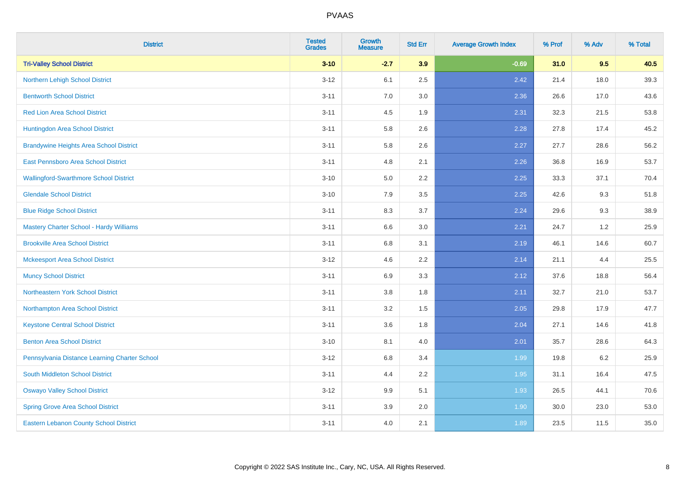| <b>District</b>                                | <b>Tested</b><br><b>Grades</b> | <b>Growth</b><br><b>Measure</b> | <b>Std Err</b> | <b>Average Growth Index</b> | % Prof | % Adv | % Total |
|------------------------------------------------|--------------------------------|---------------------------------|----------------|-----------------------------|--------|-------|---------|
| <b>Tri-Valley School District</b>              | $3 - 10$                       | $-2.7$                          | 3.9            | $-0.69$                     | 31.0   | 9.5   | 40.5    |
| Northern Lehigh School District                | $3 - 12$                       | 6.1                             | 2.5            | 2.42                        | 21.4   | 18.0  | 39.3    |
| <b>Bentworth School District</b>               | $3 - 11$                       | 7.0                             | 3.0            | 2.36                        | 26.6   | 17.0  | 43.6    |
| <b>Red Lion Area School District</b>           | $3 - 11$                       | 4.5                             | 1.9            | 2.31                        | 32.3   | 21.5  | 53.8    |
| Huntingdon Area School District                | $3 - 11$                       | 5.8                             | 2.6            | 2.28                        | 27.8   | 17.4  | 45.2    |
| <b>Brandywine Heights Area School District</b> | $3 - 11$                       | 5.8                             | 2.6            | 2.27                        | 27.7   | 28.6  | 56.2    |
| East Pennsboro Area School District            | $3 - 11$                       | 4.8                             | 2.1            | 2.26                        | 36.8   | 16.9  | 53.7    |
| <b>Wallingford-Swarthmore School District</b>  | $3 - 10$                       | 5.0                             | 2.2            | 2.25                        | 33.3   | 37.1  | 70.4    |
| <b>Glendale School District</b>                | $3 - 10$                       | 7.9                             | 3.5            | 2.25                        | 42.6   | 9.3   | 51.8    |
| <b>Blue Ridge School District</b>              | $3 - 11$                       | 8.3                             | 3.7            | 2.24                        | 29.6   | 9.3   | 38.9    |
| Mastery Charter School - Hardy Williams        | $3 - 11$                       | 6.6                             | 3.0            | 2.21                        | 24.7   | 1.2   | 25.9    |
| <b>Brookville Area School District</b>         | $3 - 11$                       | 6.8                             | 3.1            | 2.19                        | 46.1   | 14.6  | 60.7    |
| <b>Mckeesport Area School District</b>         | $3 - 12$                       | 4.6                             | 2.2            | 2.14                        | 21.1   | 4.4   | 25.5    |
| <b>Muncy School District</b>                   | $3 - 11$                       | 6.9                             | 3.3            | 2.12                        | 37.6   | 18.8  | 56.4    |
| <b>Northeastern York School District</b>       | $3 - 11$                       | 3.8                             | 1.8            | 2.11                        | 32.7   | 21.0  | 53.7    |
| Northampton Area School District               | $3 - 11$                       | 3.2                             | 1.5            | 2.05                        | 29.8   | 17.9  | 47.7    |
| <b>Keystone Central School District</b>        | $3 - 11$                       | 3.6                             | 1.8            | 2.04                        | 27.1   | 14.6  | 41.8    |
| <b>Benton Area School District</b>             | $3 - 10$                       | 8.1                             | 4.0            | 2.01                        | 35.7   | 28.6  | 64.3    |
| Pennsylvania Distance Learning Charter School  | $3 - 12$                       | 6.8                             | 3.4            | 1.99                        | 19.8   | 6.2   | 25.9    |
| <b>South Middleton School District</b>         | $3 - 11$                       | 4.4                             | 2.2            | 1.95                        | 31.1   | 16.4  | 47.5    |
| <b>Oswayo Valley School District</b>           | $3-12$                         | 9.9                             | 5.1            | 1.93                        | 26.5   | 44.1  | 70.6    |
| <b>Spring Grove Area School District</b>       | $3 - 11$                       | 3.9                             | 2.0            | 1.90                        | 30.0   | 23.0  | 53.0    |
| <b>Eastern Lebanon County School District</b>  | $3 - 11$                       | 4.0                             | 2.1            | 1.89                        | 23.5   | 11.5  | 35.0    |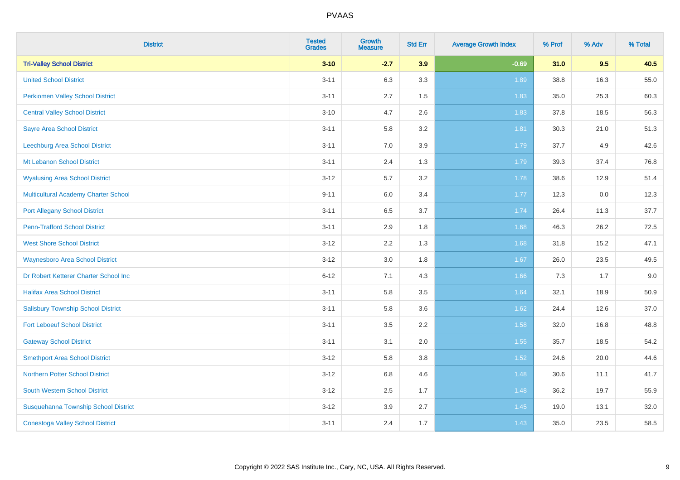| <b>District</b>                             | <b>Tested</b><br><b>Grades</b> | <b>Growth</b><br><b>Measure</b> | <b>Std Err</b> | <b>Average Growth Index</b> | % Prof | % Adv | % Total |
|---------------------------------------------|--------------------------------|---------------------------------|----------------|-----------------------------|--------|-------|---------|
| <b>Tri-Valley School District</b>           | $3 - 10$                       | $-2.7$                          | 3.9            | $-0.69$                     | 31.0   | 9.5   | 40.5    |
| <b>United School District</b>               | $3 - 11$                       | 6.3                             | 3.3            | 1.89                        | 38.8   | 16.3  | 55.0    |
| <b>Perkiomen Valley School District</b>     | $3 - 11$                       | 2.7                             | 1.5            | 1.83                        | 35.0   | 25.3  | 60.3    |
| <b>Central Valley School District</b>       | $3 - 10$                       | 4.7                             | 2.6            | 1.83                        | 37.8   | 18.5  | 56.3    |
| <b>Sayre Area School District</b>           | $3 - 11$                       | 5.8                             | 3.2            | 1.81                        | 30.3   | 21.0  | 51.3    |
| Leechburg Area School District              | $3 - 11$                       | 7.0                             | 3.9            | 1.79                        | 37.7   | 4.9   | 42.6    |
| Mt Lebanon School District                  | $3 - 11$                       | 2.4                             | 1.3            | 1.79                        | 39.3   | 37.4  | 76.8    |
| <b>Wyalusing Area School District</b>       | $3 - 12$                       | 5.7                             | 3.2            | 1.78                        | 38.6   | 12.9  | 51.4    |
| <b>Multicultural Academy Charter School</b> | $9 - 11$                       | 6.0                             | 3.4            | 1.77                        | 12.3   | 0.0   | 12.3    |
| <b>Port Allegany School District</b>        | $3 - 11$                       | 6.5                             | 3.7            | 1.74                        | 26.4   | 11.3  | 37.7    |
| <b>Penn-Trafford School District</b>        | $3 - 11$                       | 2.9                             | 1.8            | 1.68                        | 46.3   | 26.2  | 72.5    |
| <b>West Shore School District</b>           | $3 - 12$                       | 2.2                             | 1.3            | 1.68                        | 31.8   | 15.2  | 47.1    |
| <b>Waynesboro Area School District</b>      | $3 - 12$                       | $3.0\,$                         | 1.8            | 1.67                        | 26.0   | 23.5  | 49.5    |
| Dr Robert Ketterer Charter School Inc       | $6 - 12$                       | 7.1                             | 4.3            | 1.66                        | 7.3    | 1.7   | 9.0     |
| <b>Halifax Area School District</b>         | $3 - 11$                       | 5.8                             | 3.5            | 1.64                        | 32.1   | 18.9  | 50.9    |
| <b>Salisbury Township School District</b>   | $3 - 11$                       | 5.8                             | 3.6            | 1.62                        | 24.4   | 12.6  | 37.0    |
| <b>Fort Leboeuf School District</b>         | $3 - 11$                       | 3.5                             | 2.2            | 1.58                        | 32.0   | 16.8  | 48.8    |
| <b>Gateway School District</b>              | $3 - 11$                       | 3.1                             | 2.0            | 1.55                        | 35.7   | 18.5  | 54.2    |
| <b>Smethport Area School District</b>       | $3 - 12$                       | 5.8                             | 3.8            | 1.52                        | 24.6   | 20.0  | 44.6    |
| <b>Northern Potter School District</b>      | $3 - 12$                       | $6.8\,$                         | 4.6            | 1.48                        | 30.6   | 11.1  | 41.7    |
| South Western School District               | $3 - 12$                       | 2.5                             | 1.7            | 1.48                        | 36.2   | 19.7  | 55.9    |
| Susquehanna Township School District        | $3 - 12$                       | 3.9                             | 2.7            | 1.45                        | 19.0   | 13.1  | 32.0    |
| <b>Conestoga Valley School District</b>     | $3 - 11$                       | 2.4                             | 1.7            | 1.43                        | 35.0   | 23.5  | 58.5    |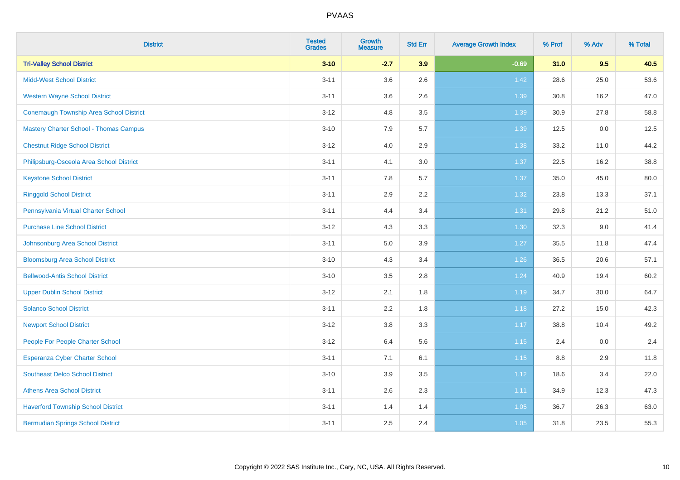| <b>District</b>                                | <b>Tested</b><br><b>Grades</b> | Growth<br><b>Measure</b> | <b>Std Err</b> | <b>Average Growth Index</b> | % Prof | % Adv | % Total |
|------------------------------------------------|--------------------------------|--------------------------|----------------|-----------------------------|--------|-------|---------|
| <b>Tri-Valley School District</b>              | $3 - 10$                       | $-2.7$                   | 3.9            | $-0.69$                     | 31.0   | 9.5   | 40.5    |
| <b>Midd-West School District</b>               | $3 - 11$                       | 3.6                      | 2.6            | 1.42                        | 28.6   | 25.0  | 53.6    |
| <b>Western Wayne School District</b>           | $3 - 11$                       | 3.6                      | 2.6            | 1.39                        | 30.8   | 16.2  | 47.0    |
| <b>Conemaugh Township Area School District</b> | $3 - 12$                       | 4.8                      | 3.5            | 1.39                        | 30.9   | 27.8  | 58.8    |
| <b>Mastery Charter School - Thomas Campus</b>  | $3 - 10$                       | 7.9                      | 5.7            | 1.39                        | 12.5   | 0.0   | 12.5    |
| <b>Chestnut Ridge School District</b>          | $3-12$                         | 4.0                      | 2.9            | 1.38                        | 33.2   | 11.0  | 44.2    |
| Philipsburg-Osceola Area School District       | $3 - 11$                       | 4.1                      | 3.0            | 1.37                        | 22.5   | 16.2  | 38.8    |
| <b>Keystone School District</b>                | $3 - 11$                       | 7.8                      | 5.7            | 1.37                        | 35.0   | 45.0  | 80.0    |
| <b>Ringgold School District</b>                | $3 - 11$                       | 2.9                      | 2.2            | 1.32                        | 23.8   | 13.3  | 37.1    |
| Pennsylvania Virtual Charter School            | $3 - 11$                       | 4.4                      | 3.4            | 1.31                        | 29.8   | 21.2  | 51.0    |
| <b>Purchase Line School District</b>           | $3-12$                         | 4.3                      | 3.3            | 1.30                        | 32.3   | 9.0   | 41.4    |
| Johnsonburg Area School District               | $3 - 11$                       | 5.0                      | 3.9            | 1.27                        | 35.5   | 11.8  | 47.4    |
| <b>Bloomsburg Area School District</b>         | $3 - 10$                       | 4.3                      | 3.4            | $1.26$                      | 36.5   | 20.6  | 57.1    |
| <b>Bellwood-Antis School District</b>          | $3 - 10$                       | 3.5                      | 2.8            | 1.24                        | 40.9   | 19.4  | 60.2    |
| <b>Upper Dublin School District</b>            | $3-12$                         | 2.1                      | 1.8            | 1.19                        | 34.7   | 30.0  | 64.7    |
| <b>Solanco School District</b>                 | $3 - 11$                       | 2.2                      | 1.8            | 1.18                        | 27.2   | 15.0  | 42.3    |
| <b>Newport School District</b>                 | $3-12$                         | $3.8\,$                  | 3.3            | 1.17                        | 38.8   | 10.4  | 49.2    |
| People For People Charter School               | $3-12$                         | 6.4                      | 5.6            | 1.15                        | 2.4    | 0.0   | 2.4     |
| Esperanza Cyber Charter School                 | $3 - 11$                       | 7.1                      | 6.1            | 1.15                        | 8.8    | 2.9   | 11.8    |
| <b>Southeast Delco School District</b>         | $3 - 10$                       | 3.9                      | 3.5            | 1.12                        | 18.6   | 3.4   | 22.0    |
| <b>Athens Area School District</b>             | $3 - 11$                       | 2.6                      | 2.3            | 1.11                        | 34.9   | 12.3  | 47.3    |
| <b>Haverford Township School District</b>      | $3 - 11$                       | 1.4                      | 1.4            | 1.05                        | 36.7   | 26.3  | 63.0    |
| <b>Bermudian Springs School District</b>       | $3 - 11$                       | 2.5                      | 2.4            | 1.05                        | 31.8   | 23.5  | 55.3    |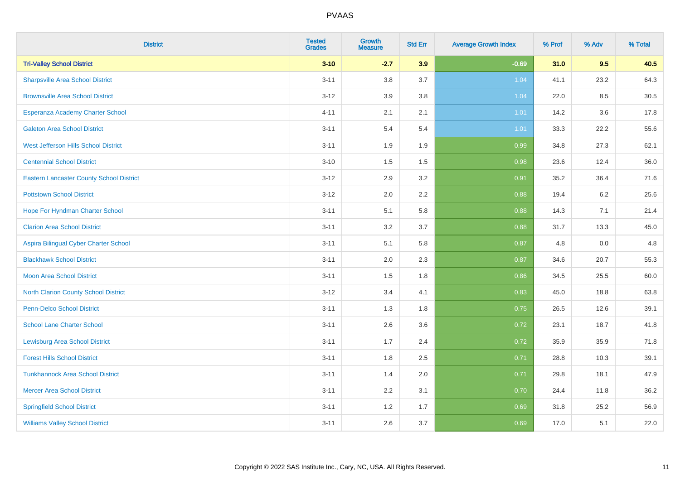| <b>District</b>                                 | <b>Tested</b><br><b>Grades</b> | Growth<br><b>Measure</b> | <b>Std Err</b> | <b>Average Growth Index</b> | % Prof | % Adv   | % Total |
|-------------------------------------------------|--------------------------------|--------------------------|----------------|-----------------------------|--------|---------|---------|
| <b>Tri-Valley School District</b>               | $3 - 10$                       | $-2.7$                   | 3.9            | $-0.69$                     | 31.0   | 9.5     | 40.5    |
| <b>Sharpsville Area School District</b>         | $3 - 11$                       | 3.8                      | 3.7            | 1.04                        | 41.1   | 23.2    | 64.3    |
| <b>Brownsville Area School District</b>         | $3-12$                         | 3.9                      | 3.8            | 1.04                        | 22.0   | 8.5     | 30.5    |
| Esperanza Academy Charter School                | $4 - 11$                       | 2.1                      | 2.1            | 1.01                        | 14.2   | $3.6\,$ | 17.8    |
| <b>Galeton Area School District</b>             | $3 - 11$                       | 5.4                      | 5.4            | 1.01                        | 33.3   | 22.2    | 55.6    |
| West Jefferson Hills School District            | $3 - 11$                       | 1.9                      | 1.9            | 0.99                        | 34.8   | 27.3    | 62.1    |
| <b>Centennial School District</b>               | $3 - 10$                       | 1.5                      | 1.5            | 0.98                        | 23.6   | 12.4    | 36.0    |
| <b>Eastern Lancaster County School District</b> | $3 - 12$                       | 2.9                      | 3.2            | 0.91                        | 35.2   | 36.4    | 71.6    |
| <b>Pottstown School District</b>                | $3-12$                         | 2.0                      | 2.2            | 0.88                        | 19.4   | 6.2     | 25.6    |
| Hope For Hyndman Charter School                 | $3 - 11$                       | 5.1                      | 5.8            | 0.88                        | 14.3   | 7.1     | 21.4    |
| <b>Clarion Area School District</b>             | $3 - 11$                       | 3.2                      | 3.7            | 0.88                        | 31.7   | 13.3    | 45.0    |
| Aspira Bilingual Cyber Charter School           | $3 - 11$                       | 5.1                      | 5.8            | 0.87                        | 4.8    | 0.0     | 4.8     |
| <b>Blackhawk School District</b>                | $3 - 11$                       | 2.0                      | 2.3            | 0.87                        | 34.6   | 20.7    | 55.3    |
| <b>Moon Area School District</b>                | $3 - 11$                       | 1.5                      | 1.8            | 0.86                        | 34.5   | 25.5    | 60.0    |
| <b>North Clarion County School District</b>     | $3 - 12$                       | 3.4                      | 4.1            | 0.83                        | 45.0   | 18.8    | 63.8    |
| <b>Penn-Delco School District</b>               | $3 - 11$                       | 1.3                      | 1.8            | 0.75                        | 26.5   | 12.6    | 39.1    |
| <b>School Lane Charter School</b>               | $3 - 11$                       | 2.6                      | 3.6            | 0.72                        | 23.1   | 18.7    | 41.8    |
| <b>Lewisburg Area School District</b>           | $3 - 11$                       | 1.7                      | 2.4            | 0.72                        | 35.9   | 35.9    | 71.8    |
| <b>Forest Hills School District</b>             | $3 - 11$                       | 1.8                      | 2.5            | 0.71                        | 28.8   | 10.3    | 39.1    |
| <b>Tunkhannock Area School District</b>         | $3 - 11$                       | 1.4                      | 2.0            | 0.71                        | 29.8   | 18.1    | 47.9    |
| <b>Mercer Area School District</b>              | $3 - 11$                       | 2.2                      | 3.1            | 0.70                        | 24.4   | 11.8    | 36.2    |
| <b>Springfield School District</b>              | $3 - 11$                       | 1.2                      | 1.7            | 0.69                        | 31.8   | 25.2    | 56.9    |
| <b>Williams Valley School District</b>          | $3 - 11$                       | 2.6                      | 3.7            | 0.69                        | 17.0   | 5.1     | 22.0    |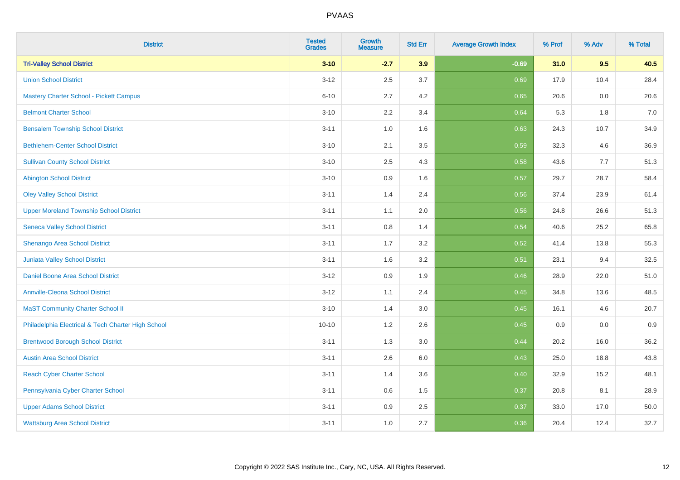| <b>District</b>                                    | <b>Tested</b><br><b>Grades</b> | <b>Growth</b><br><b>Measure</b> | <b>Std Err</b> | <b>Average Growth Index</b> | % Prof | % Adv | % Total |
|----------------------------------------------------|--------------------------------|---------------------------------|----------------|-----------------------------|--------|-------|---------|
| <b>Tri-Valley School District</b>                  | $3 - 10$                       | $-2.7$                          | 3.9            | $-0.69$                     | 31.0   | 9.5   | 40.5    |
| <b>Union School District</b>                       | $3 - 12$                       | 2.5                             | 3.7            | 0.69                        | 17.9   | 10.4  | 28.4    |
| <b>Mastery Charter School - Pickett Campus</b>     | $6 - 10$                       | 2.7                             | 4.2            | 0.65                        | 20.6   | 0.0   | 20.6    |
| <b>Belmont Charter School</b>                      | $3 - 10$                       | 2.2                             | 3.4            | 0.64                        | 5.3    | 1.8   | $7.0\,$ |
| <b>Bensalem Township School District</b>           | $3 - 11$                       | 1.0                             | 1.6            | 0.63                        | 24.3   | 10.7  | 34.9    |
| <b>Bethlehem-Center School District</b>            | $3 - 10$                       | 2.1                             | 3.5            | 0.59                        | 32.3   | 4.6   | 36.9    |
| <b>Sullivan County School District</b>             | $3 - 10$                       | 2.5                             | 4.3            | 0.58                        | 43.6   | 7.7   | 51.3    |
| <b>Abington School District</b>                    | $3 - 10$                       | 0.9                             | 1.6            | 0.57                        | 29.7   | 28.7  | 58.4    |
| <b>Oley Valley School District</b>                 | $3 - 11$                       | 1.4                             | 2.4            | 0.56                        | 37.4   | 23.9  | 61.4    |
| <b>Upper Moreland Township School District</b>     | $3 - 11$                       | 1.1                             | 2.0            | 0.56                        | 24.8   | 26.6  | 51.3    |
| <b>Seneca Valley School District</b>               | $3 - 11$                       | 0.8                             | 1.4            | 0.54                        | 40.6   | 25.2  | 65.8    |
| Shenango Area School District                      | $3 - 11$                       | 1.7                             | 3.2            | 0.52                        | 41.4   | 13.8  | 55.3    |
| Juniata Valley School District                     | $3 - 11$                       | 1.6                             | 3.2            | 0.51                        | 23.1   | 9.4   | 32.5    |
| Daniel Boone Area School District                  | $3 - 12$                       | 0.9                             | 1.9            | 0.46                        | 28.9   | 22.0  | 51.0    |
| <b>Annville-Cleona School District</b>             | $3 - 12$                       | 1.1                             | 2.4            | 0.45                        | 34.8   | 13.6  | 48.5    |
| <b>MaST Community Charter School II</b>            | $3 - 10$                       | 1.4                             | 3.0            | 0.45                        | 16.1   | 4.6   | 20.7    |
| Philadelphia Electrical & Tech Charter High School | $10 - 10$                      | 1.2                             | 2.6            | 0.45                        | 0.9    | 0.0   | 0.9     |
| <b>Brentwood Borough School District</b>           | $3 - 11$                       | 1.3                             | 3.0            | 0.44                        | 20.2   | 16.0  | 36.2    |
| <b>Austin Area School District</b>                 | $3 - 11$                       | 2.6                             | 6.0            | 0.43                        | 25.0   | 18.8  | 43.8    |
| <b>Reach Cyber Charter School</b>                  | $3 - 11$                       | 1.4                             | 3.6            | 0.40                        | 32.9   | 15.2  | 48.1    |
| Pennsylvania Cyber Charter School                  | $3 - 11$                       | 0.6                             | 1.5            | 0.37                        | 20.8   | 8.1   | 28.9    |
| <b>Upper Adams School District</b>                 | $3 - 11$                       | 0.9                             | 2.5            | 0.37                        | 33.0   | 17.0  | 50.0    |
| <b>Wattsburg Area School District</b>              | $3 - 11$                       | 1.0                             | 2.7            | 0.36                        | 20.4   | 12.4  | 32.7    |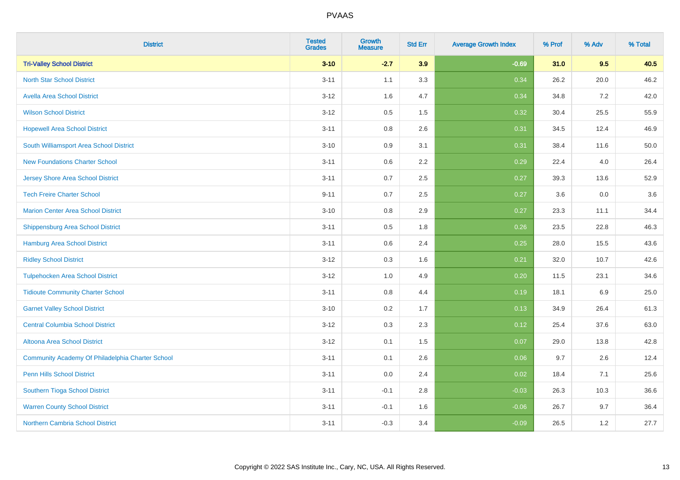| <b>District</b>                                  | <b>Tested</b><br><b>Grades</b> | <b>Growth</b><br><b>Measure</b> | <b>Std Err</b> | <b>Average Growth Index</b> | % Prof | % Adv | % Total |
|--------------------------------------------------|--------------------------------|---------------------------------|----------------|-----------------------------|--------|-------|---------|
| <b>Tri-Valley School District</b>                | $3 - 10$                       | $-2.7$                          | 3.9            | $-0.69$                     | 31.0   | 9.5   | 40.5    |
| <b>North Star School District</b>                | $3 - 11$                       | 1.1                             | 3.3            | 0.34                        | 26.2   | 20.0  | 46.2    |
| <b>Avella Area School District</b>               | $3 - 12$                       | 1.6                             | 4.7            | 0.34                        | 34.8   | 7.2   | 42.0    |
| <b>Wilson School District</b>                    | $3 - 12$                       | 0.5                             | 1.5            | 0.32                        | 30.4   | 25.5  | 55.9    |
| <b>Hopewell Area School District</b>             | $3 - 11$                       | 0.8                             | 2.6            | 0.31                        | 34.5   | 12.4  | 46.9    |
| South Williamsport Area School District          | $3 - 10$                       | 0.9                             | 3.1            | 0.31                        | 38.4   | 11.6  | 50.0    |
| <b>New Foundations Charter School</b>            | $3 - 11$                       | 0.6                             | 2.2            | 0.29                        | 22.4   | 4.0   | 26.4    |
| <b>Jersey Shore Area School District</b>         | $3 - 11$                       | 0.7                             | 2.5            | 0.27                        | 39.3   | 13.6  | 52.9    |
| <b>Tech Freire Charter School</b>                | $9 - 11$                       | 0.7                             | 2.5            | 0.27                        | 3.6    | 0.0   | 3.6     |
| <b>Marion Center Area School District</b>        | $3 - 10$                       | 0.8                             | 2.9            | 0.27                        | 23.3   | 11.1  | 34.4    |
| <b>Shippensburg Area School District</b>         | $3 - 11$                       | 0.5                             | 1.8            | 0.26                        | 23.5   | 22.8  | 46.3    |
| <b>Hamburg Area School District</b>              | $3 - 11$                       | 0.6                             | 2.4            | 0.25                        | 28.0   | 15.5  | 43.6    |
| <b>Ridley School District</b>                    | $3 - 12$                       | 0.3                             | 1.6            | 0.21                        | 32.0   | 10.7  | 42.6    |
| <b>Tulpehocken Area School District</b>          | $3-12$                         | 1.0                             | 4.9            | 0.20                        | 11.5   | 23.1  | 34.6    |
| <b>Tidioute Community Charter School</b>         | $3 - 11$                       | 0.8                             | 4.4            | 0.19                        | 18.1   | 6.9   | 25.0    |
| <b>Garnet Valley School District</b>             | $3 - 10$                       | 0.2                             | 1.7            | 0.13                        | 34.9   | 26.4  | 61.3    |
| <b>Central Columbia School District</b>          | $3-12$                         | 0.3                             | 2.3            | 0.12                        | 25.4   | 37.6  | 63.0    |
| Altoona Area School District                     | $3 - 12$                       | 0.1                             | 1.5            | 0.07                        | 29.0   | 13.8  | 42.8    |
| Community Academy Of Philadelphia Charter School | $3 - 11$                       | 0.1                             | 2.6            | 0.06                        | 9.7    | 2.6   | 12.4    |
| Penn Hills School District                       | $3 - 11$                       | 0.0                             | 2.4            | 0.02                        | 18.4   | 7.1   | 25.6    |
| <b>Southern Tioga School District</b>            | $3 - 11$                       | $-0.1$                          | 2.8            | $-0.03$                     | 26.3   | 10.3  | 36.6    |
| <b>Warren County School District</b>             | $3 - 11$                       | $-0.1$                          | 1.6            | $-0.06$                     | 26.7   | 9.7   | 36.4    |
| <b>Northern Cambria School District</b>          | $3 - 11$                       | $-0.3$                          | 3.4            | $-0.09$                     | 26.5   | 1.2   | 27.7    |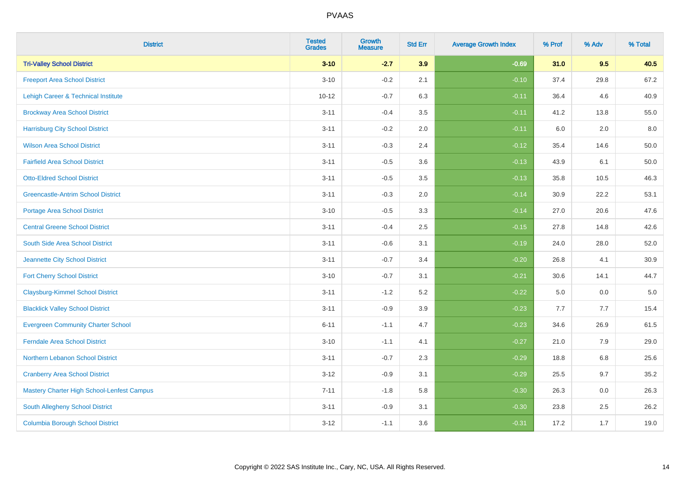| <b>District</b>                                   | <b>Tested</b><br><b>Grades</b> | Growth<br><b>Measure</b> | <b>Std Err</b> | <b>Average Growth Index</b> | % Prof | % Adv   | % Total  |
|---------------------------------------------------|--------------------------------|--------------------------|----------------|-----------------------------|--------|---------|----------|
| <b>Tri-Valley School District</b>                 | $3 - 10$                       | $-2.7$                   | 3.9            | $-0.69$                     | 31.0   | 9.5     | 40.5     |
| <b>Freeport Area School District</b>              | $3 - 10$                       | $-0.2$                   | 2.1            | $-0.10$                     | 37.4   | 29.8    | 67.2     |
| Lehigh Career & Technical Institute               | $10 - 12$                      | $-0.7$                   | 6.3            | $-0.11$                     | 36.4   | 4.6     | 40.9     |
| <b>Brockway Area School District</b>              | $3 - 11$                       | $-0.4$                   | 3.5            | $-0.11$                     | 41.2   | 13.8    | 55.0     |
| <b>Harrisburg City School District</b>            | $3 - 11$                       | $-0.2$                   | 2.0            | $-0.11$                     | 6.0    | 2.0     | 8.0      |
| <b>Wilson Area School District</b>                | $3 - 11$                       | $-0.3$                   | 2.4            | $-0.12$                     | 35.4   | 14.6    | 50.0     |
| <b>Fairfield Area School District</b>             | $3 - 11$                       | $-0.5$                   | 3.6            | $-0.13$                     | 43.9   | 6.1     | 50.0     |
| <b>Otto-Eldred School District</b>                | $3 - 11$                       | $-0.5$                   | 3.5            | $-0.13$                     | 35.8   | 10.5    | 46.3     |
| <b>Greencastle-Antrim School District</b>         | $3 - 11$                       | $-0.3$                   | 2.0            | $-0.14$                     | 30.9   | 22.2    | 53.1     |
| <b>Portage Area School District</b>               | $3 - 10$                       | $-0.5$                   | 3.3            | $-0.14$                     | 27.0   | 20.6    | 47.6     |
| <b>Central Greene School District</b>             | $3 - 11$                       | $-0.4$                   | 2.5            | $-0.15$                     | 27.8   | 14.8    | 42.6     |
| South Side Area School District                   | $3 - 11$                       | $-0.6$                   | 3.1            | $-0.19$                     | 24.0   | 28.0    | 52.0     |
| Jeannette City School District                    | $3 - 11$                       | $-0.7$                   | 3.4            | $-0.20$                     | 26.8   | 4.1     | $30.9\,$ |
| <b>Fort Cherry School District</b>                | $3 - 10$                       | $-0.7$                   | 3.1            | $-0.21$                     | 30.6   | 14.1    | 44.7     |
| <b>Claysburg-Kimmel School District</b>           | $3 - 11$                       | $-1.2$                   | 5.2            | $-0.22$                     | 5.0    | 0.0     | $5.0\,$  |
| <b>Blacklick Valley School District</b>           | $3 - 11$                       | $-0.9$                   | 3.9            | $-0.23$                     | 7.7    | 7.7     | 15.4     |
| <b>Evergreen Community Charter School</b>         | $6 - 11$                       | $-1.1$                   | 4.7            | $-0.23$                     | 34.6   | 26.9    | 61.5     |
| <b>Ferndale Area School District</b>              | $3 - 10$                       | $-1.1$                   | 4.1            | $-0.27$                     | 21.0   | 7.9     | 29.0     |
| Northern Lebanon School District                  | $3 - 11$                       | $-0.7$                   | 2.3            | $-0.29$                     | 18.8   | $6.8\,$ | 25.6     |
| <b>Cranberry Area School District</b>             | $3 - 12$                       | $-0.9$                   | 3.1            | $-0.29$                     | 25.5   | 9.7     | 35.2     |
| <b>Mastery Charter High School-Lenfest Campus</b> | $7 - 11$                       | $-1.8$                   | 5.8            | $-0.30$                     | 26.3   | 0.0     | 26.3     |
| South Allegheny School District                   | $3 - 11$                       | $-0.9$                   | 3.1            | $-0.30$                     | 23.8   | 2.5     | 26.2     |
| <b>Columbia Borough School District</b>           | $3 - 12$                       | $-1.1$                   | 3.6            | $-0.31$                     | 17.2   | 1.7     | 19.0     |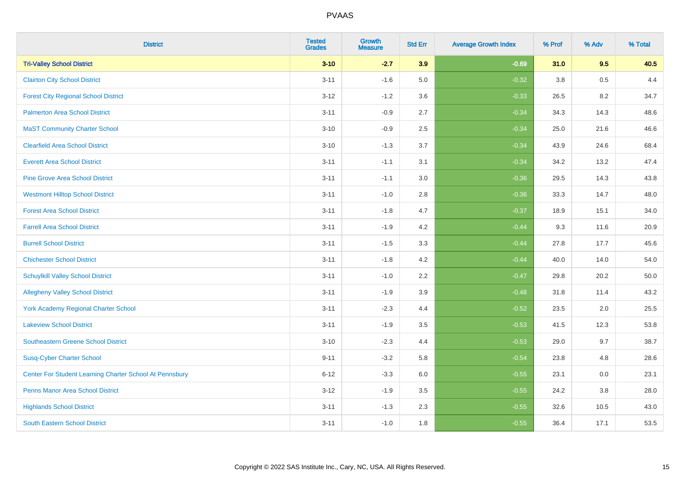| <b>District</b>                                         | <b>Tested</b><br><b>Grades</b> | <b>Growth</b><br><b>Measure</b> | <b>Std Err</b> | <b>Average Growth Index</b> | % Prof | % Adv | % Total |
|---------------------------------------------------------|--------------------------------|---------------------------------|----------------|-----------------------------|--------|-------|---------|
| <b>Tri-Valley School District</b>                       | $3 - 10$                       | $-2.7$                          | 3.9            | $-0.69$                     | 31.0   | 9.5   | 40.5    |
| <b>Clairton City School District</b>                    | $3 - 11$                       | $-1.6$                          | 5.0            | $-0.32$                     | 3.8    | 0.5   | 4.4     |
| <b>Forest City Regional School District</b>             | $3 - 12$                       | $-1.2$                          | 3.6            | $-0.33$                     | 26.5   | 8.2   | 34.7    |
| <b>Palmerton Area School District</b>                   | $3 - 11$                       | $-0.9$                          | 2.7            | $-0.34$                     | 34.3   | 14.3  | 48.6    |
| <b>MaST Community Charter School</b>                    | $3 - 10$                       | $-0.9$                          | 2.5            | $-0.34$                     | 25.0   | 21.6  | 46.6    |
| <b>Clearfield Area School District</b>                  | $3 - 10$                       | $-1.3$                          | 3.7            | $-0.34$                     | 43.9   | 24.6  | 68.4    |
| <b>Everett Area School District</b>                     | $3 - 11$                       | $-1.1$                          | 3.1            | $-0.34$                     | 34.2   | 13.2  | 47.4    |
| <b>Pine Grove Area School District</b>                  | $3 - 11$                       | $-1.1$                          | 3.0            | $-0.36$                     | 29.5   | 14.3  | 43.8    |
| <b>Westmont Hilltop School District</b>                 | $3 - 11$                       | $-1.0$                          | 2.8            | $-0.36$                     | 33.3   | 14.7  | 48.0    |
| <b>Forest Area School District</b>                      | $3 - 11$                       | $-1.8$                          | 4.7            | $-0.37$                     | 18.9   | 15.1  | 34.0    |
| <b>Farrell Area School District</b>                     | $3 - 11$                       | $-1.9$                          | 4.2            | $-0.44$                     | 9.3    | 11.6  | 20.9    |
| <b>Burrell School District</b>                          | $3 - 11$                       | $-1.5$                          | 3.3            | $-0.44$                     | 27.8   | 17.7  | 45.6    |
| <b>Chichester School District</b>                       | $3 - 11$                       | $-1.8$                          | 4.2            | $-0.44$                     | 40.0   | 14.0  | 54.0    |
| <b>Schuylkill Valley School District</b>                | $3 - 11$                       | $-1.0$                          | 2.2            | $-0.47$                     | 29.8   | 20.2  | 50.0    |
| <b>Allegheny Valley School District</b>                 | $3 - 11$                       | $-1.9$                          | 3.9            | $-0.48$                     | 31.8   | 11.4  | 43.2    |
| York Academy Regional Charter School                    | $3 - 11$                       | $-2.3$                          | 4.4            | $-0.52$                     | 23.5   | 2.0   | 25.5    |
| <b>Lakeview School District</b>                         | $3 - 11$                       | $-1.9$                          | 3.5            | $-0.53$                     | 41.5   | 12.3  | 53.8    |
| <b>Southeastern Greene School District</b>              | $3 - 10$                       | $-2.3$                          | 4.4            | $-0.53$                     | 29.0   | 9.7   | 38.7    |
| <b>Susq-Cyber Charter School</b>                        | $9 - 11$                       | $-3.2$                          | 5.8            | $-0.54$                     | 23.8   | 4.8   | 28.6    |
| Center For Student Learning Charter School At Pennsbury | $6 - 12$                       | $-3.3$                          | 6.0            | $-0.55$                     | 23.1   | 0.0   | 23.1    |
| <b>Penns Manor Area School District</b>                 | $3 - 12$                       | $-1.9$                          | 3.5            | $-0.55$                     | 24.2   | 3.8   | 28.0    |
| <b>Highlands School District</b>                        | $3 - 11$                       | $-1.3$                          | 2.3            | $-0.55$                     | 32.6   | 10.5  | 43.0    |
| <b>South Eastern School District</b>                    | $3 - 11$                       | $-1.0$                          | 1.8            | $-0.55$                     | 36.4   | 17.1  | 53.5    |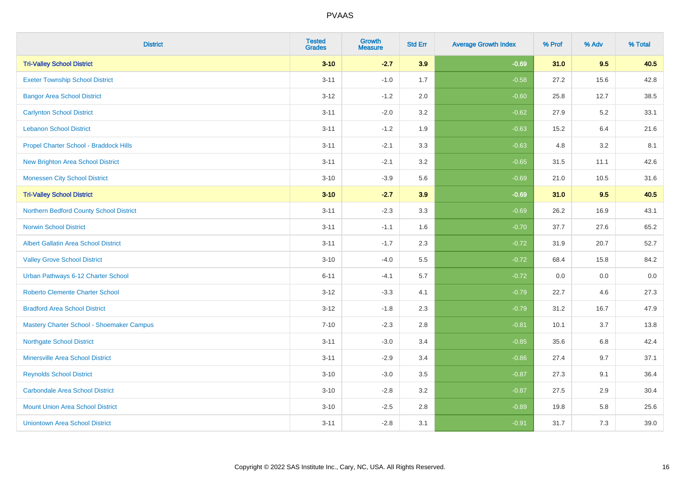| <b>District</b>                             | <b>Tested</b><br><b>Grades</b> | Growth<br><b>Measure</b> | <b>Std Err</b> | <b>Average Growth Index</b> | % Prof | % Adv   | % Total |
|---------------------------------------------|--------------------------------|--------------------------|----------------|-----------------------------|--------|---------|---------|
| <b>Tri-Valley School District</b>           | $3 - 10$                       | $-2.7$                   | 3.9            | $-0.69$                     | 31.0   | 9.5     | 40.5    |
| <b>Exeter Township School District</b>      | $3 - 11$                       | $-1.0$                   | 1.7            | $-0.58$                     | 27.2   | 15.6    | 42.8    |
| <b>Bangor Area School District</b>          | $3 - 12$                       | $-1.2$                   | 2.0            | $-0.60$                     | 25.8   | 12.7    | 38.5    |
| <b>Carlynton School District</b>            | $3 - 11$                       | $-2.0$                   | 3.2            | $-0.62$                     | 27.9   | $5.2\,$ | 33.1    |
| <b>Lebanon School District</b>              | $3 - 11$                       | $-1.2$                   | 1.9            | $-0.63$                     | 15.2   | 6.4     | 21.6    |
| Propel Charter School - Braddock Hills      | $3 - 11$                       | $-2.1$                   | 3.3            | $-0.63$                     | 4.8    | 3.2     | 8.1     |
| <b>New Brighton Area School District</b>    | $3 - 11$                       | $-2.1$                   | 3.2            | $-0.65$                     | 31.5   | 11.1    | 42.6    |
| <b>Monessen City School District</b>        | $3 - 10$                       | $-3.9$                   | 5.6            | $-0.69$                     | 21.0   | 10.5    | 31.6    |
| <b>Tri-Valley School District</b>           | $3 - 10$                       | $-2.7$                   | 3.9            | $-0.69$                     | 31.0   | 9.5     | 40.5    |
| Northern Bedford County School District     | $3 - 11$                       | $-2.3$                   | 3.3            | $-0.69$                     | 26.2   | 16.9    | 43.1    |
| <b>Norwin School District</b>               | $3 - 11$                       | $-1.1$                   | 1.6            | $-0.70$                     | 37.7   | 27.6    | 65.2    |
| <b>Albert Gallatin Area School District</b> | $3 - 11$                       | $-1.7$                   | 2.3            | $-0.72$                     | 31.9   | 20.7    | 52.7    |
| <b>Valley Grove School District</b>         | $3 - 10$                       | $-4.0$                   | 5.5            | $-0.72$                     | 68.4   | 15.8    | 84.2    |
| Urban Pathways 6-12 Charter School          | $6 - 11$                       | $-4.1$                   | 5.7            | $-0.72$                     | 0.0    | 0.0     | $0.0\,$ |
| <b>Roberto Clemente Charter School</b>      | $3 - 12$                       | $-3.3$                   | 4.1            | $-0.79$                     | 22.7   | 4.6     | 27.3    |
| <b>Bradford Area School District</b>        | $3 - 12$                       | $-1.8$                   | 2.3            | $-0.79$                     | 31.2   | 16.7    | 47.9    |
| Mastery Charter School - Shoemaker Campus   | $7 - 10$                       | $-2.3$                   | 2.8            | $-0.81$                     | 10.1   | 3.7     | 13.8    |
| <b>Northgate School District</b>            | $3 - 11$                       | $-3.0$                   | 3.4            | $-0.85$                     | 35.6   | $6.8\,$ | 42.4    |
| <b>Minersville Area School District</b>     | $3 - 11$                       | $-2.9$                   | 3.4            | $-0.86$                     | 27.4   | 9.7     | 37.1    |
| <b>Reynolds School District</b>             | $3 - 10$                       | $-3.0$                   | 3.5            | $-0.87$                     | 27.3   | 9.1     | 36.4    |
| <b>Carbondale Area School District</b>      | $3 - 10$                       | $-2.8$                   | 3.2            | $-0.87$                     | 27.5   | 2.9     | 30.4    |
| <b>Mount Union Area School District</b>     | $3 - 10$                       | $-2.5$                   | 2.8            | $-0.89$                     | 19.8   | 5.8     | 25.6    |
| <b>Uniontown Area School District</b>       | $3 - 11$                       | $-2.8$                   | 3.1            | $-0.91$                     | 31.7   | 7.3     | 39.0    |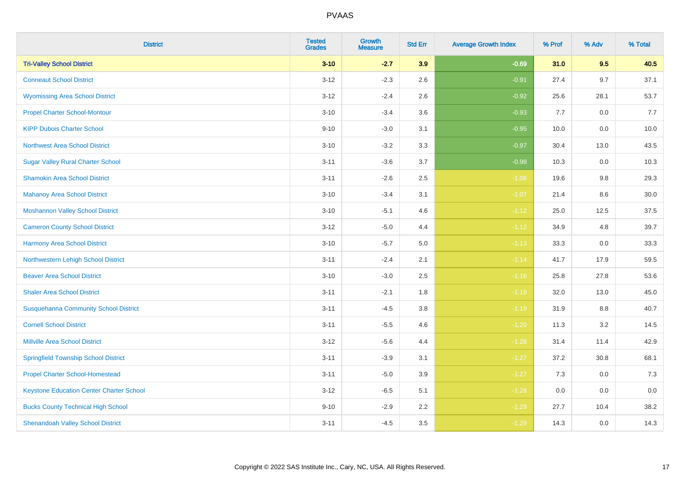| <b>District</b>                                 | <b>Tested</b><br><b>Grades</b> | Growth<br><b>Measure</b> | <b>Std Err</b> | <b>Average Growth Index</b> | % Prof | % Adv   | % Total |
|-------------------------------------------------|--------------------------------|--------------------------|----------------|-----------------------------|--------|---------|---------|
| <b>Tri-Valley School District</b>               | $3 - 10$                       | $-2.7$                   | 3.9            | $-0.69$                     | 31.0   | 9.5     | 40.5    |
| <b>Conneaut School District</b>                 | $3 - 12$                       | $-2.3$                   | 2.6            | $-0.91$                     | 27.4   | 9.7     | 37.1    |
| <b>Wyomissing Area School District</b>          | $3 - 12$                       | $-2.4$                   | 2.6            | $-0.92$                     | 25.6   | 28.1    | 53.7    |
| <b>Propel Charter School-Montour</b>            | $3 - 10$                       | $-3.4$                   | 3.6            | $-0.93$                     | 7.7    | $0.0\,$ | 7.7     |
| <b>KIPP Dubois Charter School</b>               | $9 - 10$                       | $-3.0$                   | 3.1            | $-0.95$                     | 10.0   | 0.0     | 10.0    |
| <b>Northwest Area School District</b>           | $3 - 10$                       | $-3.2$                   | 3.3            | $-0.97$                     | 30.4   | 13.0    | 43.5    |
| <b>Sugar Valley Rural Charter School</b>        | $3 - 11$                       | $-3.6$                   | 3.7            | $-0.98$                     | 10.3   | 0.0     | 10.3    |
| <b>Shamokin Area School District</b>            | $3 - 11$                       | $-2.6$                   | 2.5            | $-1.06$                     | 19.6   | 9.8     | 29.3    |
| <b>Mahanoy Area School District</b>             | $3 - 10$                       | $-3.4$                   | 3.1            | $-1.07$                     | 21.4   | 8.6     | 30.0    |
| <b>Moshannon Valley School District</b>         | $3 - 10$                       | $-5.1$                   | 4.6            | $-1.12$                     | 25.0   | 12.5    | 37.5    |
| <b>Cameron County School District</b>           | $3 - 12$                       | $-5.0$                   | 4.4            | $-1.12$                     | 34.9   | 4.8     | 39.7    |
| <b>Harmony Area School District</b>             | $3 - 10$                       | $-5.7$                   | 5.0            | $-1.13$                     | 33.3   | 0.0     | 33.3    |
| Northwestern Lehigh School District             | $3 - 11$                       | $-2.4$                   | 2.1            | $-1.14$                     | 41.7   | 17.9    | 59.5    |
| <b>Beaver Area School District</b>              | $3 - 10$                       | $-3.0$                   | 2.5            | $-1.16$                     | 25.8   | 27.8    | 53.6    |
| <b>Shaler Area School District</b>              | $3 - 11$                       | $-2.1$                   | 1.8            | $-1.18$                     | 32.0   | 13.0    | 45.0    |
| <b>Susquehanna Community School District</b>    | $3 - 11$                       | $-4.5$                   | $3.8\,$        | $-1.19$                     | 31.9   | $8.8\,$ | 40.7    |
| <b>Cornell School District</b>                  | $3 - 11$                       | $-5.5$                   | 4.6            | $-1.20$                     | 11.3   | 3.2     | 14.5    |
| <b>Millville Area School District</b>           | $3 - 12$                       | $-5.6$                   | 4.4            | $-1.26$                     | 31.4   | 11.4    | 42.9    |
| <b>Springfield Township School District</b>     | $3 - 11$                       | $-3.9$                   | 3.1            | $-1.27$                     | 37.2   | 30.8    | 68.1    |
| <b>Propel Charter School-Homestead</b>          | $3 - 11$                       | $-5.0$                   | 3.9            | $-1.27$                     | 7.3    | 0.0     | 7.3     |
| <b>Keystone Education Center Charter School</b> | $3 - 12$                       | $-6.5$                   | 5.1            | $-1.28$                     | 0.0    | 0.0     | 0.0     |
| <b>Bucks County Technical High School</b>       | $9 - 10$                       | $-2.9$                   | 2.2            | $-1.29$                     | 27.7   | 10.4    | 38.2    |
| <b>Shenandoah Valley School District</b>        | $3 - 11$                       | $-4.5$                   | 3.5            | $-1.29$                     | 14.3   | 0.0     | 14.3    |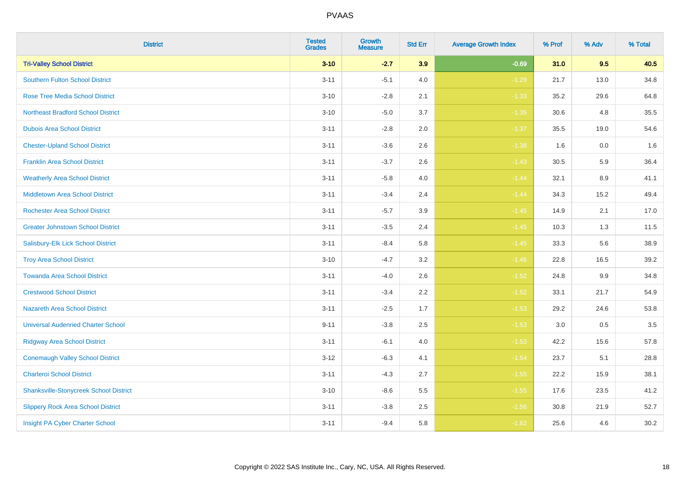| <b>District</b>                               | <b>Tested</b><br><b>Grades</b> | Growth<br><b>Measure</b> | <b>Std Err</b> | <b>Average Growth Index</b> | % Prof | % Adv | % Total |
|-----------------------------------------------|--------------------------------|--------------------------|----------------|-----------------------------|--------|-------|---------|
| <b>Tri-Valley School District</b>             | $3 - 10$                       | $-2.7$                   | 3.9            | $-0.69$                     | 31.0   | 9.5   | 40.5    |
| Southern Fulton School District               | $3 - 11$                       | $-5.1$                   | 4.0            | $-1.29$                     | 21.7   | 13.0  | 34.8    |
| <b>Rose Tree Media School District</b>        | $3 - 10$                       | $-2.8$                   | 2.1            | $-1.33$                     | 35.2   | 29.6  | 64.8    |
| <b>Northeast Bradford School District</b>     | $3 - 10$                       | $-5.0$                   | 3.7            | $-1.35$                     | 30.6   | 4.8   | 35.5    |
| <b>Dubois Area School District</b>            | $3 - 11$                       | $-2.8$                   | 2.0            | $-1.37$                     | 35.5   | 19.0  | 54.6    |
| <b>Chester-Upland School District</b>         | $3 - 11$                       | $-3.6$                   | 2.6            | $-1.38$                     | 1.6    | 0.0   | 1.6     |
| <b>Franklin Area School District</b>          | $3 - 11$                       | $-3.7$                   | 2.6            | $-1.43$                     | 30.5   | 5.9   | 36.4    |
| <b>Weatherly Area School District</b>         | $3 - 11$                       | $-5.8$                   | 4.0            | $-1.44$                     | 32.1   | 8.9   | 41.1    |
| <b>Middletown Area School District</b>        | $3 - 11$                       | $-3.4$                   | 2.4            | $-1.44$                     | 34.3   | 15.2  | 49.4    |
| <b>Rochester Area School District</b>         | $3 - 11$                       | $-5.7$                   | 3.9            | $-1.45$                     | 14.9   | 2.1   | 17.0    |
| <b>Greater Johnstown School District</b>      | $3 - 11$                       | $-3.5$                   | 2.4            | $-1.45$                     | 10.3   | 1.3   | 11.5    |
| Salisbury-Elk Lick School District            | $3 - 11$                       | $-8.4$                   | 5.8            | $-1.45$                     | 33.3   | 5.6   | 38.9    |
| <b>Troy Area School District</b>              | $3 - 10$                       | $-4.7$                   | $3.2\,$        | $-1.46$                     | 22.8   | 16.5  | 39.2    |
| <b>Towanda Area School District</b>           | $3 - 11$                       | $-4.0$                   | 2.6            | $-1.52$                     | 24.8   | 9.9   | 34.8    |
| <b>Crestwood School District</b>              | $3 - 11$                       | $-3.4$                   | 2.2            | $-1.52$                     | 33.1   | 21.7  | 54.9    |
| <b>Nazareth Area School District</b>          | $3 - 11$                       | $-2.5$                   | 1.7            | $-1.53$                     | 29.2   | 24.6  | 53.8    |
| <b>Universal Audenried Charter School</b>     | $9 - 11$                       | $-3.8$                   | 2.5            | $-1.53$                     | 3.0    | 0.5   | 3.5     |
| <b>Ridgway Area School District</b>           | $3 - 11$                       | $-6.1$                   | 4.0            | $-1.53$                     | 42.2   | 15.6  | 57.8    |
| <b>Conemaugh Valley School District</b>       | $3-12$                         | $-6.3$                   | 4.1            | $-1.54$                     | 23.7   | 5.1   | 28.8    |
| <b>Charleroi School District</b>              | $3 - 11$                       | $-4.3$                   | 2.7            | $-1.55$                     | 22.2   | 15.9  | 38.1    |
| <b>Shanksville-Stonycreek School District</b> | $3 - 10$                       | $-8.6$                   | 5.5            | $-1.55$                     | 17.6   | 23.5  | 41.2    |
| <b>Slippery Rock Area School District</b>     | $3 - 11$                       | $-3.8$                   | 2.5            | $-1.56$                     | 30.8   | 21.9  | 52.7    |
| Insight PA Cyber Charter School               | $3 - 11$                       | $-9.4$                   | 5.8            | $-1.62$                     | 25.6   | 4.6   | 30.2    |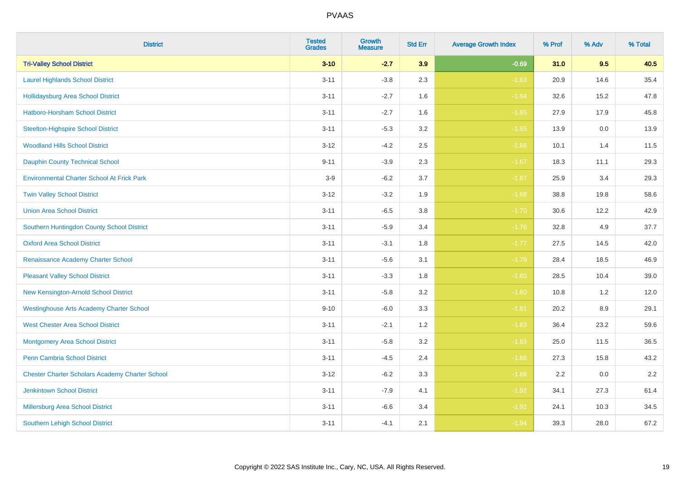| <b>District</b>                                        | <b>Tested</b><br><b>Grades</b> | Growth<br><b>Measure</b> | <b>Std Err</b> | <b>Average Growth Index</b> | % Prof | % Adv   | % Total |
|--------------------------------------------------------|--------------------------------|--------------------------|----------------|-----------------------------|--------|---------|---------|
| <b>Tri-Valley School District</b>                      | $3 - 10$                       | $-2.7$                   | 3.9            | $-0.69$                     | 31.0   | 9.5     | 40.5    |
| <b>Laurel Highlands School District</b>                | $3 - 11$                       | $-3.8$                   | 2.3            | $-1.63$                     | 20.9   | 14.6    | 35.4    |
| <b>Hollidaysburg Area School District</b>              | $3 - 11$                       | $-2.7$                   | 1.6            | $-1.64$                     | 32.6   | 15.2    | 47.8    |
| Hatboro-Horsham School District                        | $3 - 11$                       | $-2.7$                   | 1.6            | $-1.65$                     | 27.9   | 17.9    | 45.8    |
| <b>Steelton-Highspire School District</b>              | $3 - 11$                       | $-5.3$                   | 3.2            | $-1.65$                     | 13.9   | 0.0     | 13.9    |
| <b>Woodland Hills School District</b>                  | $3 - 12$                       | $-4.2$                   | 2.5            | $-1.66$                     | 10.1   | 1.4     | 11.5    |
| Dauphin County Technical School                        | $9 - 11$                       | $-3.9$                   | 2.3            | $-1.67$                     | 18.3   | 11.1    | 29.3    |
| <b>Environmental Charter School At Frick Park</b>      | $3-9$                          | $-6.2$                   | 3.7            | $-1.67$                     | 25.9   | 3.4     | 29.3    |
| <b>Twin Valley School District</b>                     | $3 - 12$                       | $-3.2$                   | 1.9            | $-1.68$                     | 38.8   | 19.8    | 58.6    |
| <b>Union Area School District</b>                      | $3 - 11$                       | $-6.5$                   | 3.8            | $-1.70$                     | 30.6   | 12.2    | 42.9    |
| Southern Huntingdon County School District             | $3 - 11$                       | $-5.9$                   | 3.4            | $-1.76$                     | 32.8   | 4.9     | 37.7    |
| <b>Oxford Area School District</b>                     | $3 - 11$                       | $-3.1$                   | 1.8            | $-1.77$                     | 27.5   | 14.5    | 42.0    |
| Renaissance Academy Charter School                     | $3 - 11$                       | $-5.6$                   | 3.1            | $-1.79$                     | 28.4   | 18.5    | 46.9    |
| <b>Pleasant Valley School District</b>                 | $3 - 11$                       | $-3.3$                   | 1.8            | $-1.80$                     | 28.5   | 10.4    | 39.0    |
| New Kensington-Arnold School District                  | $3 - 11$                       | $-5.8$                   | 3.2            | $-1.80$                     | 10.8   | 1.2     | 12.0    |
| <b>Westinghouse Arts Academy Charter School</b>        | $9 - 10$                       | $-6.0$                   | 3.3            | $-1.81$                     | 20.2   | $8.9\,$ | 29.1    |
| <b>West Chester Area School District</b>               | $3 - 11$                       | $-2.1$                   | 1.2            | $-1.83$                     | 36.4   | 23.2    | 59.6    |
| <b>Montgomery Area School District</b>                 | $3 - 11$                       | $-5.8$                   | 3.2            | $-1.83$                     | 25.0   | 11.5    | 36.5    |
| <b>Penn Cambria School District</b>                    | $3 - 11$                       | $-4.5$                   | 2.4            | $-1.86$                     | 27.3   | 15.8    | 43.2    |
| <b>Chester Charter Scholars Academy Charter School</b> | $3 - 12$                       | $-6.2$                   | 3.3            | $-1.88$                     | 2.2    | 0.0     | 2.2     |
| <b>Jenkintown School District</b>                      | $3 - 11$                       | $-7.9$                   | 4.1            | $-1.92$                     | 34.1   | 27.3    | 61.4    |
| Millersburg Area School District                       | $3 - 11$                       | $-6.6$                   | 3.4            | $-1.92$                     | 24.1   | 10.3    | 34.5    |
| <b>Southern Lehigh School District</b>                 | $3 - 11$                       | $-4.1$                   | 2.1            | $-1.94$                     | 39.3   | 28.0    | 67.2    |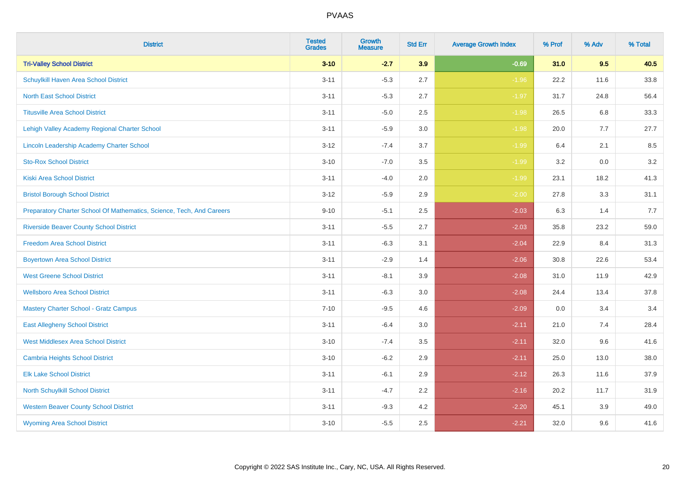| <b>District</b>                                                       | <b>Tested</b><br><b>Grades</b> | <b>Growth</b><br><b>Measure</b> | <b>Std Err</b> | <b>Average Growth Index</b> | % Prof | % Adv   | % Total |
|-----------------------------------------------------------------------|--------------------------------|---------------------------------|----------------|-----------------------------|--------|---------|---------|
| <b>Tri-Valley School District</b>                                     | $3 - 10$                       | $-2.7$                          | 3.9            | $-0.69$                     | 31.0   | 9.5     | 40.5    |
| Schuylkill Haven Area School District                                 | $3 - 11$                       | $-5.3$                          | 2.7            | $-1.96$                     | 22.2   | 11.6    | 33.8    |
| <b>North East School District</b>                                     | $3 - 11$                       | $-5.3$                          | 2.7            | $-1.97$                     | 31.7   | 24.8    | 56.4    |
| <b>Titusville Area School District</b>                                | $3 - 11$                       | $-5.0$                          | 2.5            | $-1.98$                     | 26.5   | 6.8     | 33.3    |
| Lehigh Valley Academy Regional Charter School                         | $3 - 11$                       | $-5.9$                          | 3.0            | $-1.98$                     | 20.0   | 7.7     | 27.7    |
| Lincoln Leadership Academy Charter School                             | $3 - 12$                       | $-7.4$                          | 3.7            | $-1.99$                     | 6.4    | 2.1     | 8.5     |
| <b>Sto-Rox School District</b>                                        | $3 - 10$                       | $-7.0$                          | 3.5            | $-1.99$                     | 3.2    | $0.0\,$ | 3.2     |
| <b>Kiski Area School District</b>                                     | $3 - 11$                       | $-4.0$                          | 2.0            | $-1.99$                     | 23.1   | 18.2    | 41.3    |
| <b>Bristol Borough School District</b>                                | $3 - 12$                       | $-5.9$                          | 2.9            | $-2.00$                     | 27.8   | 3.3     | 31.1    |
| Preparatory Charter School Of Mathematics, Science, Tech, And Careers | $9 - 10$                       | $-5.1$                          | $2.5\,$        | $-2.03$                     | 6.3    | 1.4     | 7.7     |
| <b>Riverside Beaver County School District</b>                        | $3 - 11$                       | $-5.5$                          | 2.7            | $-2.03$                     | 35.8   | 23.2    | 59.0    |
| <b>Freedom Area School District</b>                                   | $3 - 11$                       | $-6.3$                          | 3.1            | $-2.04$                     | 22.9   | 8.4     | 31.3    |
| <b>Boyertown Area School District</b>                                 | $3 - 11$                       | $-2.9$                          | 1.4            | $-2.06$                     | 30.8   | 22.6    | 53.4    |
| <b>West Greene School District</b>                                    | $3 - 11$                       | $-8.1$                          | 3.9            | $-2.08$                     | 31.0   | 11.9    | 42.9    |
| <b>Wellsboro Area School District</b>                                 | $3 - 11$                       | $-6.3$                          | 3.0            | $-2.08$                     | 24.4   | 13.4    | 37.8    |
| <b>Mastery Charter School - Gratz Campus</b>                          | $7 - 10$                       | $-9.5$                          | 4.6            | $-2.09$                     | 0.0    | 3.4     | 3.4     |
| <b>East Allegheny School District</b>                                 | $3 - 11$                       | $-6.4$                          | 3.0            | $-2.11$                     | 21.0   | 7.4     | 28.4    |
| <b>West Middlesex Area School District</b>                            | $3 - 10$                       | $-7.4$                          | 3.5            | $-2.11$                     | 32.0   | 9.6     | 41.6    |
| <b>Cambria Heights School District</b>                                | $3 - 10$                       | $-6.2$                          | 2.9            | $-2.11$                     | 25.0   | 13.0    | 38.0    |
| <b>Elk Lake School District</b>                                       | $3 - 11$                       | $-6.1$                          | 2.9            | $-2.12$                     | 26.3   | 11.6    | 37.9    |
| North Schuylkill School District                                      | $3 - 11$                       | $-4.7$                          | 2.2            | $-2.16$                     | 20.2   | 11.7    | 31.9    |
| <b>Western Beaver County School District</b>                          | $3 - 11$                       | $-9.3$                          | 4.2            | $-2.20$                     | 45.1   | 3.9     | 49.0    |
| <b>Wyoming Area School District</b>                                   | $3 - 10$                       | $-5.5$                          | 2.5            | $-2.21$                     | 32.0   | 9.6     | 41.6    |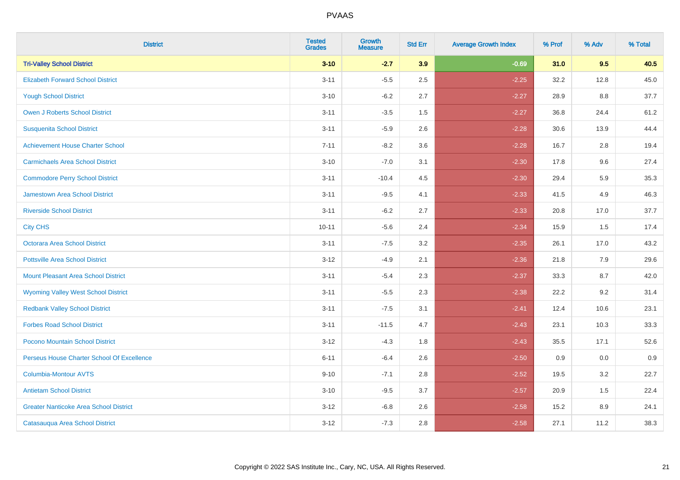| <b>District</b>                               | <b>Tested</b><br><b>Grades</b> | Growth<br><b>Measure</b> | <b>Std Err</b> | <b>Average Growth Index</b> | % Prof | % Adv | % Total |
|-----------------------------------------------|--------------------------------|--------------------------|----------------|-----------------------------|--------|-------|---------|
| <b>Tri-Valley School District</b>             | $3 - 10$                       | $-2.7$                   | 3.9            | $-0.69$                     | 31.0   | 9.5   | 40.5    |
| <b>Elizabeth Forward School District</b>      | $3 - 11$                       | $-5.5$                   | 2.5            | $-2.25$                     | 32.2   | 12.8  | 45.0    |
| <b>Yough School District</b>                  | $3 - 10$                       | $-6.2$                   | 2.7            | $-2.27$                     | 28.9   | 8.8   | 37.7    |
| Owen J Roberts School District                | $3 - 11$                       | $-3.5$                   | 1.5            | $-2.27$                     | 36.8   | 24.4  | 61.2    |
| <b>Susquenita School District</b>             | $3 - 11$                       | $-5.9$                   | 2.6            | $-2.28$                     | 30.6   | 13.9  | 44.4    |
| <b>Achievement House Charter School</b>       | $7 - 11$                       | $-8.2$                   | 3.6            | $-2.28$                     | 16.7   | 2.8   | 19.4    |
| <b>Carmichaels Area School District</b>       | $3 - 10$                       | $-7.0$                   | 3.1            | $-2.30$                     | 17.8   | 9.6   | 27.4    |
| <b>Commodore Perry School District</b>        | $3 - 11$                       | $-10.4$                  | 4.5            | $-2.30$                     | 29.4   | 5.9   | 35.3    |
| Jamestown Area School District                | $3 - 11$                       | $-9.5$                   | 4.1            | $-2.33$                     | 41.5   | 4.9   | 46.3    |
| <b>Riverside School District</b>              | $3 - 11$                       | $-6.2$                   | 2.7            | $-2.33$                     | 20.8   | 17.0  | 37.7    |
| <b>City CHS</b>                               | $10 - 11$                      | $-5.6$                   | 2.4            | $-2.34$                     | 15.9   | 1.5   | 17.4    |
| <b>Octorara Area School District</b>          | $3 - 11$                       | $-7.5$                   | 3.2            | $-2.35$                     | 26.1   | 17.0  | 43.2    |
| <b>Pottsville Area School District</b>        | $3 - 12$                       | $-4.9$                   | 2.1            | $-2.36$                     | 21.8   | 7.9   | 29.6    |
| <b>Mount Pleasant Area School District</b>    | $3 - 11$                       | $-5.4$                   | 2.3            | $-2.37$                     | 33.3   | 8.7   | 42.0    |
| <b>Wyoming Valley West School District</b>    | $3 - 11$                       | $-5.5$                   | 2.3            | $-2.38$                     | 22.2   | 9.2   | 31.4    |
| <b>Redbank Valley School District</b>         | $3 - 11$                       | $-7.5$                   | 3.1            | $-2.41$                     | 12.4   | 10.6  | 23.1    |
| <b>Forbes Road School District</b>            | $3 - 11$                       | $-11.5$                  | 4.7            | $-2.43$                     | 23.1   | 10.3  | 33.3    |
| Pocono Mountain School District               | $3 - 12$                       | $-4.3$                   | 1.8            | $-2.43$                     | 35.5   | 17.1  | 52.6    |
| Perseus House Charter School Of Excellence    | $6 - 11$                       | $-6.4$                   | 2.6            | $-2.50$                     | 0.9    | 0.0   | 0.9     |
| <b>Columbia-Montour AVTS</b>                  | $9 - 10$                       | $-7.1$                   | 2.8            | $-2.52$                     | 19.5   | 3.2   | 22.7    |
| <b>Antietam School District</b>               | $3 - 10$                       | $-9.5$                   | 3.7            | $-2.57$                     | 20.9   | 1.5   | 22.4    |
| <b>Greater Nanticoke Area School District</b> | $3 - 12$                       | $-6.8$                   | 2.6            | $-2.58$                     | 15.2   | 8.9   | 24.1    |
| Catasauqua Area School District               | $3 - 12$                       | $-7.3$                   | 2.8            | $-2.58$                     | 27.1   | 11.2  | 38.3    |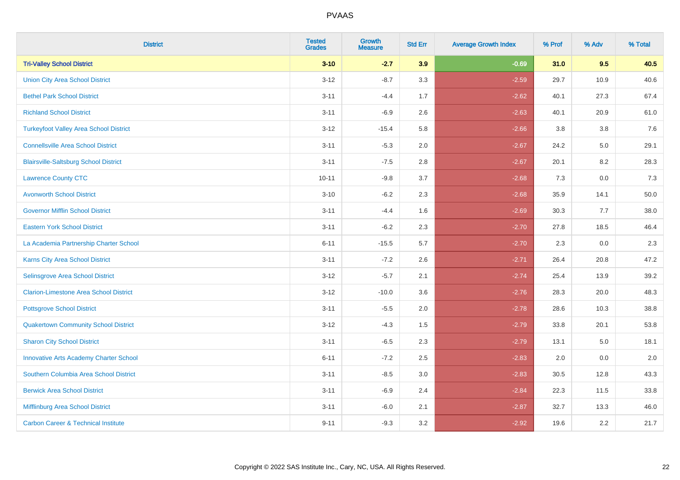| <b>District</b>                                | <b>Tested</b><br><b>Grades</b> | <b>Growth</b><br><b>Measure</b> | <b>Std Err</b> | <b>Average Growth Index</b> | % Prof | % Adv | % Total |
|------------------------------------------------|--------------------------------|---------------------------------|----------------|-----------------------------|--------|-------|---------|
| <b>Tri-Valley School District</b>              | $3 - 10$                       | $-2.7$                          | 3.9            | $-0.69$                     | 31.0   | 9.5   | 40.5    |
| <b>Union City Area School District</b>         | $3 - 12$                       | $-8.7$                          | 3.3            | $-2.59$                     | 29.7   | 10.9  | 40.6    |
| <b>Bethel Park School District</b>             | $3 - 11$                       | $-4.4$                          | 1.7            | $-2.62$                     | 40.1   | 27.3  | 67.4    |
| <b>Richland School District</b>                | $3 - 11$                       | $-6.9$                          | 2.6            | $-2.63$                     | 40.1   | 20.9  | 61.0    |
| <b>Turkeyfoot Valley Area School District</b>  | $3 - 12$                       | $-15.4$                         | 5.8            | $-2.66$                     | 3.8    | 3.8   | 7.6     |
| <b>Connellsville Area School District</b>      | $3 - 11$                       | $-5.3$                          | 2.0            | $-2.67$                     | 24.2   | 5.0   | 29.1    |
| <b>Blairsville-Saltsburg School District</b>   | $3 - 11$                       | $-7.5$                          | 2.8            | $-2.67$                     | 20.1   | 8.2   | 28.3    |
| <b>Lawrence County CTC</b>                     | $10 - 11$                      | $-9.8$                          | 3.7            | $-2.68$                     | 7.3    | 0.0   | 7.3     |
| <b>Avonworth School District</b>               | $3 - 10$                       | $-6.2$                          | 2.3            | $-2.68$                     | 35.9   | 14.1  | 50.0    |
| <b>Governor Mifflin School District</b>        | $3 - 11$                       | $-4.4$                          | 1.6            | $-2.69$                     | 30.3   | 7.7   | 38.0    |
| <b>Eastern York School District</b>            | $3 - 11$                       | $-6.2$                          | 2.3            | $-2.70$                     | 27.8   | 18.5  | 46.4    |
| La Academia Partnership Charter School         | $6 - 11$                       | $-15.5$                         | 5.7            | $-2.70$                     | 2.3    | 0.0   | 2.3     |
| Karns City Area School District                | $3 - 11$                       | $-7.2$                          | 2.6            | $-2.71$                     | 26.4   | 20.8  | 47.2    |
| Selinsgrove Area School District               | $3 - 12$                       | $-5.7$                          | 2.1            | $-2.74$                     | 25.4   | 13.9  | 39.2    |
| <b>Clarion-Limestone Area School District</b>  | $3 - 12$                       | $-10.0$                         | 3.6            | $-2.76$                     | 28.3   | 20.0  | 48.3    |
| <b>Pottsgrove School District</b>              | $3 - 11$                       | $-5.5$                          | 2.0            | $-2.78$                     | 28.6   | 10.3  | 38.8    |
| <b>Quakertown Community School District</b>    | $3 - 12$                       | $-4.3$                          | 1.5            | $-2.79$                     | 33.8   | 20.1  | 53.8    |
| <b>Sharon City School District</b>             | $3 - 11$                       | $-6.5$                          | 2.3            | $-2.79$                     | 13.1   | 5.0   | 18.1    |
| <b>Innovative Arts Academy Charter School</b>  | $6 - 11$                       | $-7.2$                          | 2.5            | $-2.83$                     | 2.0    | 0.0   | 2.0     |
| Southern Columbia Area School District         | $3 - 11$                       | $-8.5$                          | 3.0            | $-2.83$                     | 30.5   | 12.8  | 43.3    |
| <b>Berwick Area School District</b>            | $3 - 11$                       | $-6.9$                          | 2.4            | $-2.84$                     | 22.3   | 11.5  | 33.8    |
| Mifflinburg Area School District               | $3 - 11$                       | $-6.0$                          | 2.1            | $-2.87$                     | 32.7   | 13.3  | 46.0    |
| <b>Carbon Career &amp; Technical Institute</b> | $9 - 11$                       | $-9.3$                          | 3.2            | $-2.92$                     | 19.6   | 2.2   | 21.7    |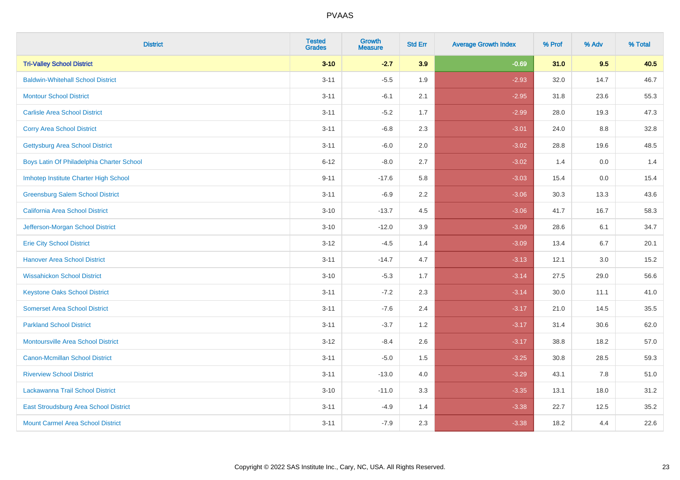| <b>District</b>                           | <b>Tested</b><br><b>Grades</b> | <b>Growth</b><br><b>Measure</b> | <b>Std Err</b> | <b>Average Growth Index</b> | % Prof | % Adv   | % Total |
|-------------------------------------------|--------------------------------|---------------------------------|----------------|-----------------------------|--------|---------|---------|
| <b>Tri-Valley School District</b>         | $3 - 10$                       | $-2.7$                          | 3.9            | $-0.69$                     | 31.0   | 9.5     | 40.5    |
| <b>Baldwin-Whitehall School District</b>  | $3 - 11$                       | $-5.5$                          | 1.9            | $-2.93$                     | 32.0   | 14.7    | 46.7    |
| <b>Montour School District</b>            | $3 - 11$                       | $-6.1$                          | 2.1            | $-2.95$                     | 31.8   | 23.6    | 55.3    |
| <b>Carlisle Area School District</b>      | $3 - 11$                       | $-5.2$                          | 1.7            | $-2.99$                     | 28.0   | 19.3    | 47.3    |
| <b>Corry Area School District</b>         | $3 - 11$                       | $-6.8$                          | 2.3            | $-3.01$                     | 24.0   | 8.8     | 32.8    |
| <b>Gettysburg Area School District</b>    | $3 - 11$                       | $-6.0$                          | 2.0            | $-3.02$                     | 28.8   | 19.6    | 48.5    |
| Boys Latin Of Philadelphia Charter School | $6 - 12$                       | $-8.0$                          | 2.7            | $-3.02$                     | 1.4    | 0.0     | 1.4     |
| Imhotep Institute Charter High School     | $9 - 11$                       | $-17.6$                         | 5.8            | $-3.03$                     | 15.4   | 0.0     | 15.4    |
| <b>Greensburg Salem School District</b>   | $3 - 11$                       | $-6.9$                          | 2.2            | $-3.06$                     | 30.3   | 13.3    | 43.6    |
| California Area School District           | $3 - 10$                       | $-13.7$                         | 4.5            | $-3.06$                     | 41.7   | 16.7    | 58.3    |
| Jefferson-Morgan School District          | $3 - 10$                       | $-12.0$                         | 3.9            | $-3.09$                     | 28.6   | 6.1     | 34.7    |
| <b>Erie City School District</b>          | $3 - 12$                       | $-4.5$                          | 1.4            | $-3.09$                     | 13.4   | 6.7     | 20.1    |
| <b>Hanover Area School District</b>       | $3 - 11$                       | $-14.7$                         | 4.7            | $-3.13$                     | 12.1   | $3.0\,$ | 15.2    |
| <b>Wissahickon School District</b>        | $3 - 10$                       | $-5.3$                          | 1.7            | $-3.14$                     | 27.5   | 29.0    | 56.6    |
| <b>Keystone Oaks School District</b>      | $3 - 11$                       | $-7.2$                          | 2.3            | $-3.14$                     | 30.0   | 11.1    | 41.0    |
| <b>Somerset Area School District</b>      | $3 - 11$                       | $-7.6$                          | 2.4            | $-3.17$                     | 21.0   | 14.5    | 35.5    |
| <b>Parkland School District</b>           | $3 - 11$                       | $-3.7$                          | 1.2            | $-3.17$                     | 31.4   | 30.6    | 62.0    |
| <b>Montoursville Area School District</b> | $3 - 12$                       | $-8.4$                          | 2.6            | $-3.17$                     | 38.8   | 18.2    | 57.0    |
| <b>Canon-Mcmillan School District</b>     | $3 - 11$                       | $-5.0$                          | 1.5            | $-3.25$                     | 30.8   | 28.5    | 59.3    |
| <b>Riverview School District</b>          | $3 - 11$                       | $-13.0$                         | 4.0            | $-3.29$                     | 43.1   | 7.8     | 51.0    |
| Lackawanna Trail School District          | $3 - 10$                       | $-11.0$                         | 3.3            | $-3.35$                     | 13.1   | 18.0    | 31.2    |
| East Stroudsburg Area School District     | $3 - 11$                       | $-4.9$                          | 1.4            | $-3.38$                     | 22.7   | 12.5    | 35.2    |
| <b>Mount Carmel Area School District</b>  | $3 - 11$                       | $-7.9$                          | 2.3            | $-3.38$                     | 18.2   | 4.4     | 22.6    |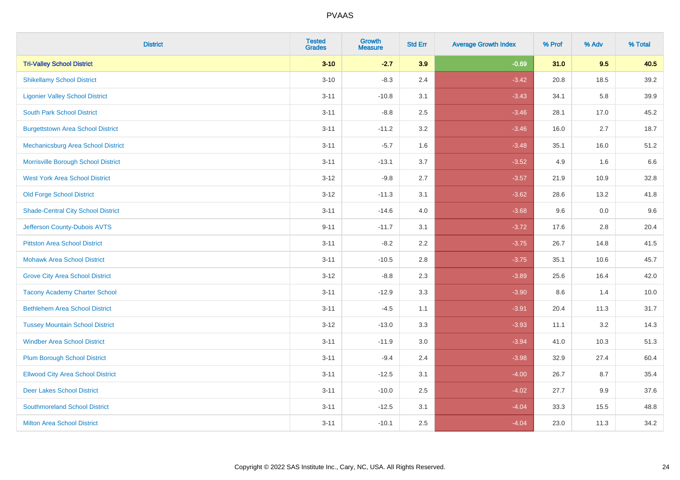| <b>District</b>                           | <b>Tested</b><br><b>Grades</b> | <b>Growth</b><br><b>Measure</b> | <b>Std Err</b> | <b>Average Growth Index</b> | % Prof | % Adv   | % Total |
|-------------------------------------------|--------------------------------|---------------------------------|----------------|-----------------------------|--------|---------|---------|
| <b>Tri-Valley School District</b>         | $3 - 10$                       | $-2.7$                          | 3.9            | $-0.69$                     | 31.0   | 9.5     | 40.5    |
| <b>Shikellamy School District</b>         | $3 - 10$                       | $-8.3$                          | 2.4            | $-3.42$                     | 20.8   | 18.5    | 39.2    |
| <b>Ligonier Valley School District</b>    | $3 - 11$                       | $-10.8$                         | 3.1            | $-3.43$                     | 34.1   | 5.8     | 39.9    |
| <b>South Park School District</b>         | $3 - 11$                       | $-8.8$                          | 2.5            | $-3.46$                     | 28.1   | 17.0    | 45.2    |
| <b>Burgettstown Area School District</b>  | $3 - 11$                       | $-11.2$                         | 3.2            | $-3.46$                     | 16.0   | 2.7     | 18.7    |
| Mechanicsburg Area School District        | $3 - 11$                       | $-5.7$                          | 1.6            | $-3.48$                     | 35.1   | 16.0    | 51.2    |
| Morrisville Borough School District       | $3 - 11$                       | $-13.1$                         | 3.7            | $-3.52$                     | 4.9    | 1.6     | 6.6     |
| <b>West York Area School District</b>     | $3 - 12$                       | $-9.8$                          | 2.7            | $-3.57$                     | 21.9   | 10.9    | 32.8    |
| <b>Old Forge School District</b>          | $3 - 12$                       | $-11.3$                         | 3.1            | $-3.62$                     | 28.6   | 13.2    | 41.8    |
| <b>Shade-Central City School District</b> | $3 - 11$                       | $-14.6$                         | 4.0            | $-3.68$                     | 9.6    | 0.0     | 9.6     |
| Jefferson County-Dubois AVTS              | $9 - 11$                       | $-11.7$                         | 3.1            | $-3.72$                     | 17.6   | 2.8     | 20.4    |
| <b>Pittston Area School District</b>      | $3 - 11$                       | $-8.2$                          | 2.2            | $-3.75$                     | 26.7   | 14.8    | 41.5    |
| <b>Mohawk Area School District</b>        | $3 - 11$                       | $-10.5$                         | 2.8            | $-3.75$                     | 35.1   | 10.6    | 45.7    |
| <b>Grove City Area School District</b>    | $3 - 12$                       | $-8.8$                          | 2.3            | $-3.89$                     | 25.6   | 16.4    | 42.0    |
| <b>Tacony Academy Charter School</b>      | $3 - 11$                       | $-12.9$                         | 3.3            | $-3.90$                     | 8.6    | 1.4     | 10.0    |
| <b>Bethlehem Area School District</b>     | $3 - 11$                       | $-4.5$                          | 1.1            | $-3.91$                     | 20.4   | 11.3    | 31.7    |
| <b>Tussey Mountain School District</b>    | $3 - 12$                       | $-13.0$                         | 3.3            | $-3.93$                     | 11.1   | $3.2\,$ | 14.3    |
| <b>Windber Area School District</b>       | $3 - 11$                       | $-11.9$                         | 3.0            | $-3.94$                     | 41.0   | 10.3    | 51.3    |
| <b>Plum Borough School District</b>       | $3 - 11$                       | $-9.4$                          | 2.4            | $-3.98$                     | 32.9   | 27.4    | 60.4    |
| <b>Ellwood City Area School District</b>  | $3 - 11$                       | $-12.5$                         | 3.1            | $-4.00$                     | 26.7   | 8.7     | 35.4    |
| <b>Deer Lakes School District</b>         | $3 - 11$                       | $-10.0$                         | 2.5            | $-4.02$                     | 27.7   | 9.9     | 37.6    |
| <b>Southmoreland School District</b>      | $3 - 11$                       | $-12.5$                         | 3.1            | $-4.04$                     | 33.3   | 15.5    | 48.8    |
| <b>Milton Area School District</b>        | $3 - 11$                       | $-10.1$                         | 2.5            | $-4.04$                     | 23.0   | 11.3    | 34.2    |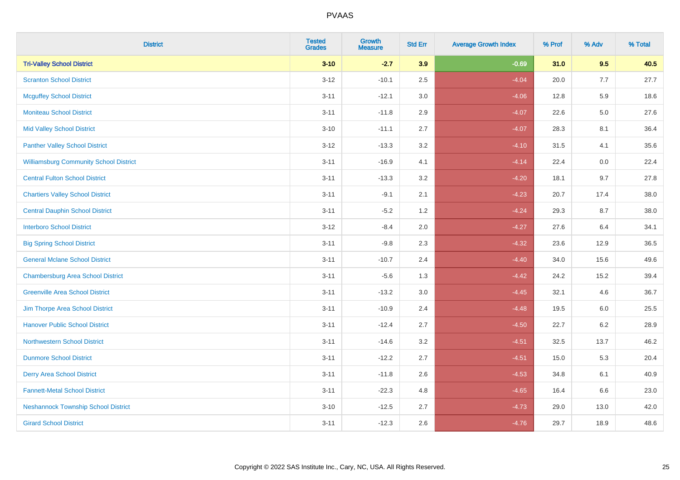| <b>District</b>                               | <b>Tested</b><br><b>Grades</b> | Growth<br><b>Measure</b> | <b>Std Err</b> | <b>Average Growth Index</b> | % Prof | % Adv   | % Total |
|-----------------------------------------------|--------------------------------|--------------------------|----------------|-----------------------------|--------|---------|---------|
| <b>Tri-Valley School District</b>             | $3 - 10$                       | $-2.7$                   | 3.9            | $-0.69$                     | 31.0   | 9.5     | 40.5    |
| <b>Scranton School District</b>               | $3 - 12$                       | $-10.1$                  | 2.5            | $-4.04$                     | 20.0   | 7.7     | 27.7    |
| <b>Mcguffey School District</b>               | $3 - 11$                       | $-12.1$                  | 3.0            | $-4.06$                     | 12.8   | 5.9     | 18.6    |
| <b>Moniteau School District</b>               | $3 - 11$                       | $-11.8$                  | 2.9            | $-4.07$                     | 22.6   | $5.0\,$ | 27.6    |
| <b>Mid Valley School District</b>             | $3 - 10$                       | $-11.1$                  | 2.7            | $-4.07$                     | 28.3   | 8.1     | 36.4    |
| <b>Panther Valley School District</b>         | $3 - 12$                       | $-13.3$                  | 3.2            | $-4.10$                     | 31.5   | 4.1     | 35.6    |
| <b>Williamsburg Community School District</b> | $3 - 11$                       | $-16.9$                  | 4.1            | $-4.14$                     | 22.4   | 0.0     | 22.4    |
| <b>Central Fulton School District</b>         | $3 - 11$                       | $-13.3$                  | 3.2            | $-4.20$                     | 18.1   | 9.7     | 27.8    |
| <b>Chartiers Valley School District</b>       | $3 - 11$                       | $-9.1$                   | 2.1            | $-4.23$                     | 20.7   | 17.4    | 38.0    |
| <b>Central Dauphin School District</b>        | $3 - 11$                       | $-5.2$                   | 1.2            | $-4.24$                     | 29.3   | 8.7     | 38.0    |
| <b>Interboro School District</b>              | $3 - 12$                       | $-8.4$                   | 2.0            | $-4.27$                     | 27.6   | 6.4     | 34.1    |
| <b>Big Spring School District</b>             | $3 - 11$                       | $-9.8$                   | 2.3            | $-4.32$                     | 23.6   | 12.9    | 36.5    |
| <b>General Mclane School District</b>         | $3 - 11$                       | $-10.7$                  | 2.4            | $-4.40$                     | 34.0   | 15.6    | 49.6    |
| <b>Chambersburg Area School District</b>      | $3 - 11$                       | $-5.6$                   | 1.3            | $-4.42$                     | 24.2   | 15.2    | 39.4    |
| <b>Greenville Area School District</b>        | $3 - 11$                       | $-13.2$                  | $3.0\,$        | $-4.45$                     | 32.1   | 4.6     | 36.7    |
| Jim Thorpe Area School District               | $3 - 11$                       | $-10.9$                  | 2.4            | $-4.48$                     | 19.5   | $6.0\,$ | 25.5    |
| <b>Hanover Public School District</b>         | $3 - 11$                       | $-12.4$                  | 2.7            | $-4.50$                     | 22.7   | 6.2     | 28.9    |
| <b>Northwestern School District</b>           | $3 - 11$                       | $-14.6$                  | 3.2            | $-4.51$                     | 32.5   | 13.7    | 46.2    |
| <b>Dunmore School District</b>                | $3 - 11$                       | $-12.2$                  | 2.7            | $-4.51$                     | 15.0   | 5.3     | 20.4    |
| <b>Derry Area School District</b>             | $3 - 11$                       | $-11.8$                  | 2.6            | $-4.53$                     | 34.8   | 6.1     | 40.9    |
| <b>Fannett-Metal School District</b>          | $3 - 11$                       | $-22.3$                  | 4.8            | $-4.65$                     | 16.4   | 6.6     | 23.0    |
| <b>Neshannock Township School District</b>    | $3 - 10$                       | $-12.5$                  | 2.7            | $-4.73$                     | 29.0   | 13.0    | 42.0    |
| <b>Girard School District</b>                 | $3 - 11$                       | $-12.3$                  | 2.6            | $-4.76$                     | 29.7   | 18.9    | 48.6    |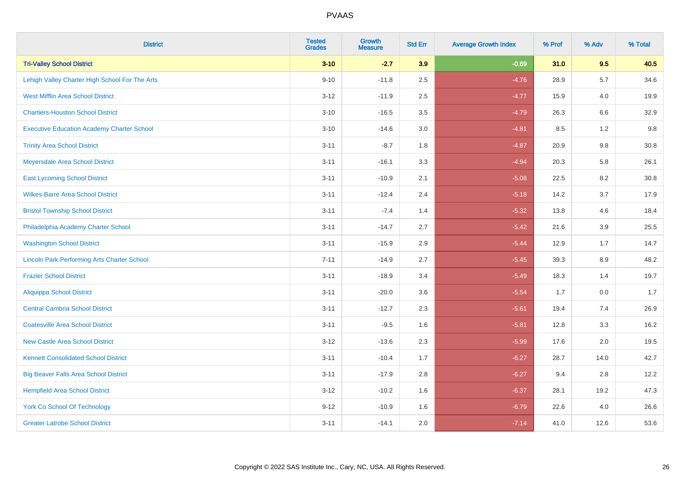| <b>District</b>                                    | <b>Tested</b><br><b>Grades</b> | <b>Growth</b><br><b>Measure</b> | <b>Std Err</b> | <b>Average Growth Index</b> | % Prof | % Adv   | % Total |
|----------------------------------------------------|--------------------------------|---------------------------------|----------------|-----------------------------|--------|---------|---------|
| <b>Tri-Valley School District</b>                  | $3 - 10$                       | $-2.7$                          | 3.9            | $-0.69$                     | 31.0   | 9.5     | 40.5    |
| Lehigh Valley Charter High School For The Arts     | $9 - 10$                       | $-11.8$                         | 2.5            | $-4.76$                     | 28.9   | 5.7     | 34.6    |
| <b>West Mifflin Area School District</b>           | $3 - 12$                       | $-11.9$                         | 2.5            | $-4.77$                     | 15.9   | 4.0     | 19.9    |
| <b>Chartiers-Houston School District</b>           | $3 - 10$                       | $-16.5$                         | 3.5            | $-4.79$                     | 26.3   | 6.6     | 32.9    |
| <b>Executive Education Academy Charter School</b>  | $3 - 10$                       | $-14.6$                         | 3.0            | $-4.81$                     | 8.5    | 1.2     | 9.8     |
| <b>Trinity Area School District</b>                | $3 - 11$                       | $-8.7$                          | 1.8            | $-4.87$                     | 20.9   | 9.8     | 30.8    |
| Meyersdale Area School District                    | $3 - 11$                       | $-16.1$                         | 3.3            | $-4.94$                     | 20.3   | 5.8     | 26.1    |
| <b>East Lycoming School District</b>               | $3 - 11$                       | $-10.9$                         | 2.1            | $-5.08$                     | 22.5   | 8.2     | 30.8    |
| <b>Wilkes-Barre Area School District</b>           | $3 - 11$                       | $-12.4$                         | 2.4            | $-5.18$                     | 14.2   | 3.7     | 17.9    |
| <b>Bristol Township School District</b>            | $3 - 11$                       | $-7.4$                          | 1.4            | $-5.32$                     | 13.8   | 4.6     | 18.4    |
| Philadelphia Academy Charter School                | $3 - 11$                       | $-14.7$                         | 2.7            | $-5.42$                     | 21.6   | 3.9     | 25.5    |
| <b>Washington School District</b>                  | $3 - 11$                       | $-15.9$                         | 2.9            | $-5.44$                     | 12.9   | 1.7     | 14.7    |
| <b>Lincoln Park Performing Arts Charter School</b> | $7 - 11$                       | $-14.9$                         | 2.7            | $-5.45$                     | 39.3   | $8.9\,$ | 48.2    |
| <b>Frazier School District</b>                     | $3 - 11$                       | $-18.9$                         | 3.4            | $-5.49$                     | 18.3   | 1.4     | 19.7    |
| <b>Aliquippa School District</b>                   | $3 - 11$                       | $-20.0$                         | 3.6            | $-5.54$                     | 1.7    | 0.0     | 1.7     |
| <b>Central Cambria School District</b>             | $3 - 11$                       | $-12.7$                         | 2.3            | $-5.61$                     | 19.4   | 7.4     | 26.9    |
| <b>Coatesville Area School District</b>            | $3 - 11$                       | $-9.5$                          | 1.6            | $-5.81$                     | 12.8   | 3.3     | 16.2    |
| <b>New Castle Area School District</b>             | $3 - 12$                       | $-13.6$                         | 2.3            | $-5.99$                     | 17.6   | 2.0     | 19.5    |
| <b>Kennett Consolidated School District</b>        | $3 - 11$                       | $-10.4$                         | 1.7            | $-6.27$                     | 28.7   | 14.0    | 42.7    |
| <b>Big Beaver Falls Area School District</b>       | $3 - 11$                       | $-17.9$                         | 2.8            | $-6.27$                     | 9.4    | 2.8     | 12.2    |
| <b>Hempfield Area School District</b>              | $3 - 12$                       | $-10.2$                         | 1.6            | $-6.37$                     | 28.1   | 19.2    | 47.3    |
| York Co School Of Technology                       | $9 - 12$                       | $-10.9$                         | 1.6            | $-6.79$                     | 22.6   | 4.0     | 26.6    |
| <b>Greater Latrobe School District</b>             | $3 - 11$                       | $-14.1$                         | 2.0            | $-7.14$                     | 41.0   | 12.6    | 53.6    |